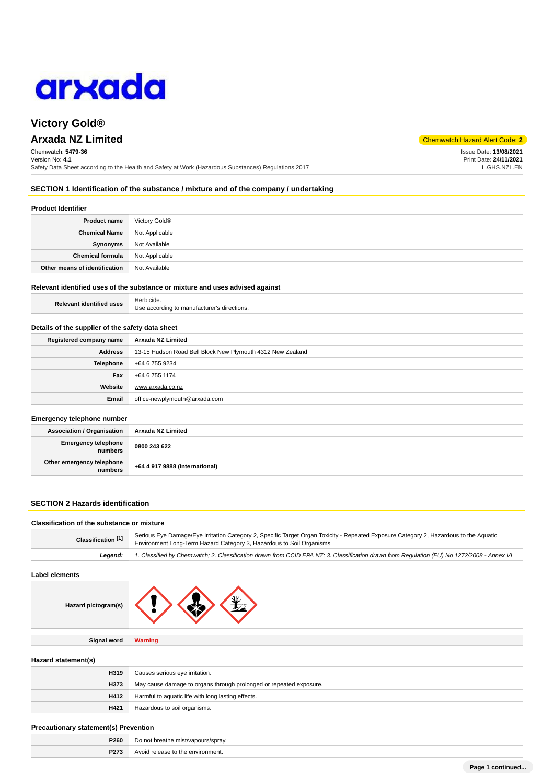

# **Victory Gold®**

# **Arxada NZ Limited** Chemwatch Hazard Alert Code: **2**

Chemwatch: **5479-36** Version No: **4.1** Safety Data Sheet according to the Health and Safety at Work (Hazardous Substances) Regulations 2017 Issue Date: **13/08/2021**

Print Date: **24/11/2021** L.GHS.NZL.EN

## **SECTION 1 Identification of the substance / mixture and of the company / undertaking**

### **Product Identifier**

| <b>Product name</b>           | Victory Gold <sup>®</sup> |
|-------------------------------|---------------------------|
| <b>Chemical Name</b>          | Not Applicable            |
| Synonyms                      | Not Available             |
| <b>Chemical formula</b>       | Not Applicable            |
| Other means of identification | Not Available             |

#### **Relevant identified uses of the substance or mixture and uses advised against**

| <b>Relevant identified uses</b> | Herbicide.                                  |
|---------------------------------|---------------------------------------------|
|                                 | Use according to manufacturer's directions. |

## **Details of the supplier of the safety data sheet**

| Registered company name | Arxada NZ Limited                                          |
|-------------------------|------------------------------------------------------------|
| Address                 | 13-15 Hudson Road Bell Block New Plymouth 4312 New Zealand |
| <b>Telephone</b>        | +64 6 755 9234                                             |
| Fax                     | +64 6 755 1174                                             |
| Website                 | www.arxada.co.nz                                           |
| Email                   | office-newplymouth@arxada.com                              |

#### **Emergency telephone number**

| <b>Association / Organisation</b>    | Arxada NZ Limited              |
|--------------------------------------|--------------------------------|
| Emergency telephone<br>numbers       | 0800 243 622                   |
| Other emergency telephone<br>numbers | +64 4 917 9888 (International) |

## **SECTION 2 Hazards identification**

| Classification of the substance or mixture |                                                                                                                                                                                                               |  |
|--------------------------------------------|---------------------------------------------------------------------------------------------------------------------------------------------------------------------------------------------------------------|--|
| Classification [1]                         | Serious Eye Damage/Eye Irritation Category 2, Specific Target Organ Toxicity - Repeated Exposure Category 2, Hazardous to the Aquatic<br>Environment Long-Term Hazard Category 3, Hazardous to Soil Organisms |  |
| Leaend:                                    | 1. Classified by Chemwatch; 2. Classification drawn from CCID EPA NZ; 3. Classification drawn from Requlation (EU) No 1272/2008 - Annex VI                                                                    |  |

## **Label elements**

| rd pictogram(s) |  |  |  |  |
|-----------------|--|--|--|--|
|-----------------|--|--|--|--|

**Signal word Warning**

#### **Hazard statement(s)**

**Haza** 

| H319 | Causes serious eye irritation.                                     |
|------|--------------------------------------------------------------------|
| H373 | May cause damage to organs through prolonged or repeated exposure. |
| H412 | Harmful to aquatic life with long lasting effects.                 |
| H421 | Hazardous to soil organisms.                                       |

#### **Precautionary statement(s) Prevention**

| <b>P260</b> | Do not breathe mist/vapours/spray.             |
|-------------|------------------------------------------------|
| P273        | the environment.<br><b>A</b> .<br>a rologog to |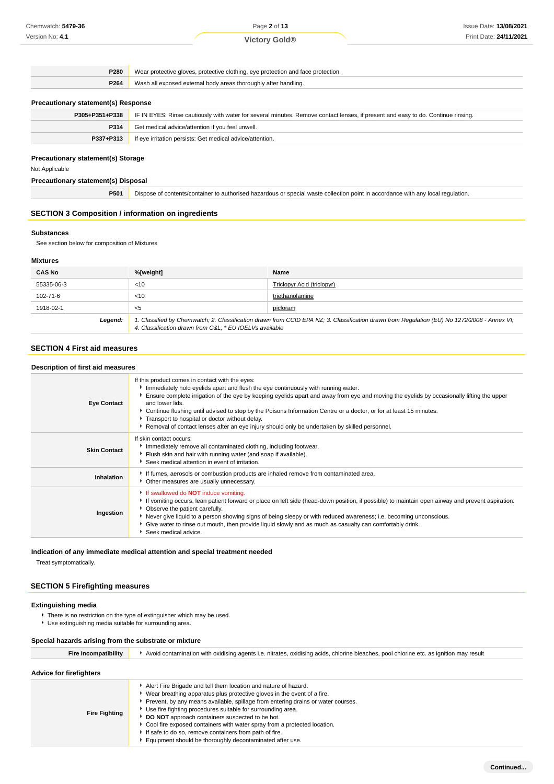Page **2** of **13**

**Victory Gold®**

**P280** Wear protective gloves, protective clothing, eye protection and face protection. **P264** Wash all exposed external body areas thoroughly after handling.

## **Precautionary statement(s) Response**

| P305+P351+P338 | IF IN EYES: Rinse cautiously with water for several minutes. Remove contact lenses, if present and easy to do. Continue rinsing. |
|----------------|----------------------------------------------------------------------------------------------------------------------------------|
| P314           | Get medical advice/attention if you feel unwell.                                                                                 |
| P337+P313      | If eye irritation persists: Get medical advice/attention.                                                                        |
|                |                                                                                                                                  |

## **Precautionary statement(s) Storage**

Not Applicable

## **Precautionary statement(s) Disposal**

**P501** Dispose of contents/container to authorised hazardous or special waste collection point in accordance with any local regulation.

#### **SECTION 3 Composition / information on ingredients**

#### **Substances**

See section below for composition of Mixtures

### **Mixtures**

| <b>CAS No</b> | %[weight]                                                                                                                                                                                             | Name                       |
|---------------|-------------------------------------------------------------------------------------------------------------------------------------------------------------------------------------------------------|----------------------------|
| 55335-06-3    | $<$ 10                                                                                                                                                                                                | Triclopyr Acid (triclopyr) |
| 102-71-6      | $<$ 10                                                                                                                                                                                                | triethanolamine            |
| 1918-02-1     | $<$ 5                                                                                                                                                                                                 | picloram                   |
| Legend:       | 1. Classified by Chemwatch; 2. Classification drawn from CCID EPA NZ; 3. Classification drawn from Regulation (EU) No 1272/2008 - Annex VI;<br>4. Classification drawn from C&L * EU IOELVs available |                            |

## **SECTION 4 First aid measures**

#### **Description of first aid measures Eye Contact** If this product comes in contact with the eyes: Immediately hold eyelids apart and flush the eye continuously with running water. Ensure complete irrigation of the eye by keeping eyelids apart and away from eye and moving the eyelids by occasionally lifting the upper and lower lids. Continue flushing until advised to stop by the Poisons Information Centre or a doctor, or for at least 15 minutes. Transport to hospital or doctor without delay. Removal of contact lenses after an eye injury should only be undertaken by skilled personnel. **Skin Contact** If skin contact occurs: Immediately remove all contaminated clothing, including footwear. Flush skin and hair with running water (and soap if available). Seek medical attention in event of irritation. **Inhalation If fumes, aerosols or combustion products are inhaled remove from contaminated area.** Other measures are usually unnecessary. **Ingestion** If swallowed do **NOT** induce vomiting. If vomiting occurs, lean patient forward or place on left side (head-down position, if possible) to maintain open airway and prevent aspiration. Observe the patient carefully. Never give liquid to a person showing signs of being sleepy or with reduced awareness; i.e. becoming unconscious. Give water to rinse out mouth, then provide liquid slowly and as much as casualty can comfortably drink. Seek medical advice.

## **Indication of any immediate medical attention and special treatment needed**

Treat symptomatically.

## **SECTION 5 Firefighting measures**

#### **Extinguishing media**

- There is no restriction on the type of extinguisher which may be used.
- Use extinguishing media suitable for surrounding area.

#### **Special hazards arising from the substrate or mixture**

| <b>Fire Incompatibility</b>    | Avoid contamination with oxidising agents i.e. nitrates, oxidising acids, chlorine bleaches, pool chlorine etc. as ignition may result                                                                                                                                                                                                                                                                                                                                                                                                                   |  |
|--------------------------------|----------------------------------------------------------------------------------------------------------------------------------------------------------------------------------------------------------------------------------------------------------------------------------------------------------------------------------------------------------------------------------------------------------------------------------------------------------------------------------------------------------------------------------------------------------|--|
| <b>Advice for firefighters</b> |                                                                                                                                                                                                                                                                                                                                                                                                                                                                                                                                                          |  |
| <b>Fire Fighting</b>           | Alert Fire Brigade and tell them location and nature of hazard.<br>► Wear breathing apparatus plus protective gloves in the event of a fire.<br>▶ Prevent, by any means available, spillage from entering drains or water courses.<br>Use fire fighting procedures suitable for surrounding area.<br>DO NOT approach containers suspected to be hot.<br>▶ Cool fire exposed containers with water spray from a protected location.<br>If safe to do so, remove containers from path of fire.<br>Equipment should be thoroughly decontaminated after use. |  |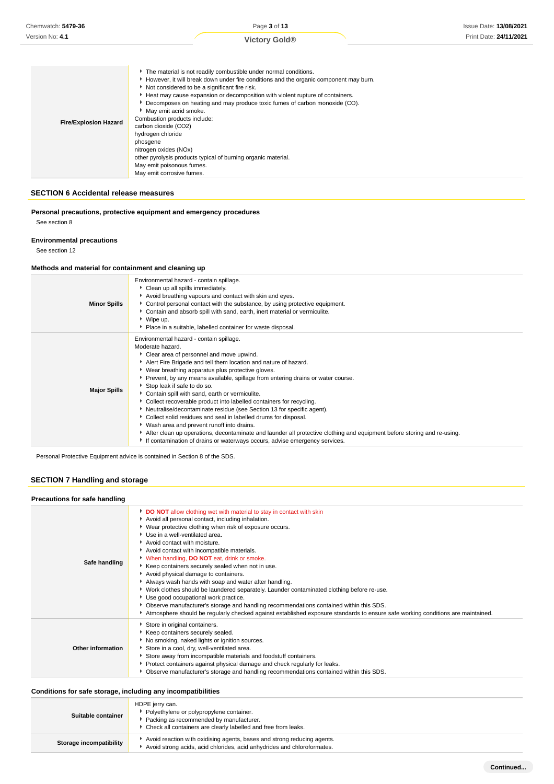|                              | The material is not readily combustible under normal conditions.                      |
|------------------------------|---------------------------------------------------------------------------------------|
|                              | However, it will break down under fire conditions and the organic component may burn. |
|                              | Not considered to be a significant fire risk.                                         |
|                              | Heat may cause expansion or decomposition with violent rupture of containers.         |
|                              | ▶ Decomposes on heating and may produce toxic fumes of carbon monoxide (CO).          |
|                              | May emit acrid smoke.                                                                 |
| <b>Fire/Explosion Hazard</b> | Combustion products include:                                                          |
|                              | carbon dioxide (CO2)                                                                  |
|                              | hydrogen chloride                                                                     |
|                              | phosgene                                                                              |
|                              | nitrogen oxides (NOx)                                                                 |
|                              | other pyrolysis products typical of burning organic material.                         |
|                              | May emit poisonous fumes.                                                             |
|                              | May emit corrosive fumes.                                                             |

## **SECTION 6 Accidental release measures**

**Personal precautions, protective equipment and emergency procedures**

See section 8

## **Environmental precautions**

See section 12

## **Methods and material for containment and cleaning up**

| <b>Minor Spills</b> | Environmental hazard - contain spillage.<br>Clean up all spills immediately.<br>Avoid breathing vapours and contact with skin and eyes.<br>• Control personal contact with the substance, by using protective equipment.<br>Contain and absorb spill with sand, earth, inert material or vermiculite.<br>▶ Wipe up.<br>Place in a suitable, labelled container for waste disposal.                                                                                                                                                                                                                                                                                                                                                                                                                                                                                                          |
|---------------------|---------------------------------------------------------------------------------------------------------------------------------------------------------------------------------------------------------------------------------------------------------------------------------------------------------------------------------------------------------------------------------------------------------------------------------------------------------------------------------------------------------------------------------------------------------------------------------------------------------------------------------------------------------------------------------------------------------------------------------------------------------------------------------------------------------------------------------------------------------------------------------------------|
| <b>Major Spills</b> | Environmental hazard - contain spillage.<br>Moderate hazard.<br>Clear area of personnel and move upwind.<br>Alert Fire Brigade and tell them location and nature of hazard.<br>▶ Wear breathing apparatus plus protective gloves.<br>▶ Prevent, by any means available, spillage from entering drains or water course.<br>Stop leak if safe to do so.<br>Contain spill with sand, earth or vermiculite.<br>Collect recoverable product into labelled containers for recycling.<br>٠<br>• Neutralise/decontaminate residue (see Section 13 for specific agent).<br>• Collect solid residues and seal in labelled drums for disposal.<br>▶ Wash area and prevent runoff into drains.<br>After clean up operations, decontaminate and launder all protective clothing and equipment before storing and re-using.<br>If contamination of drains or waterways occurs, advise emergency services. |

Personal Protective Equipment advice is contained in Section 8 of the SDS.

## **SECTION 7 Handling and storage**

## **Precautions for safe handling**

| Precaduons for sale handling |                                                                                                                                                                                                                                                                                                                                                                                                                                                                                                                                                                                                                                                                                                                                                                                                                                                                                  |
|------------------------------|----------------------------------------------------------------------------------------------------------------------------------------------------------------------------------------------------------------------------------------------------------------------------------------------------------------------------------------------------------------------------------------------------------------------------------------------------------------------------------------------------------------------------------------------------------------------------------------------------------------------------------------------------------------------------------------------------------------------------------------------------------------------------------------------------------------------------------------------------------------------------------|
| Safe handling                | DO NOT allow clothing wet with material to stay in contact with skin<br>Avoid all personal contact, including inhalation.<br>▶ Wear protective clothing when risk of exposure occurs.<br>Use in a well-ventilated area.<br>Avoid contact with moisture.<br>Avoid contact with incompatible materials.<br>When handling, DO NOT eat, drink or smoke.<br>▶ Keep containers securely sealed when not in use.<br>Avoid physical damage to containers.<br>Always wash hands with soap and water after handling.<br>▶ Work clothes should be laundered separately. Launder contaminated clothing before re-use.<br>Use good occupational work practice.<br>▶ Observe manufacturer's storage and handling recommendations contained within this SDS.<br>Atmosphere should be regularly checked against established exposure standards to ensure safe working conditions are maintained. |
| <b>Other information</b>     | Store in original containers.<br>Keep containers securely sealed.<br>No smoking, naked lights or ignition sources.<br>Store in a cool, dry, well-ventilated area.<br>Store away from incompatible materials and foodstuff containers.<br>Protect containers against physical damage and check regularly for leaks.<br>• Observe manufacturer's storage and handling recommendations contained within this SDS.                                                                                                                                                                                                                                                                                                                                                                                                                                                                   |

## **Conditions for safe storage, including any incompatibilities**

| Suitable container      | HDPE jerry can.<br>• Polyethylene or polypropylene container.<br>Packing as recommended by manufacturer.<br>Check all containers are clearly labelled and free from leaks. |
|-------------------------|----------------------------------------------------------------------------------------------------------------------------------------------------------------------------|
| Storage incompatibility | Avoid reaction with oxidising agents, bases and strong reducing agents.<br>Avoid strong acids, acid chlorides, acid anhydrides and chloroformates.                         |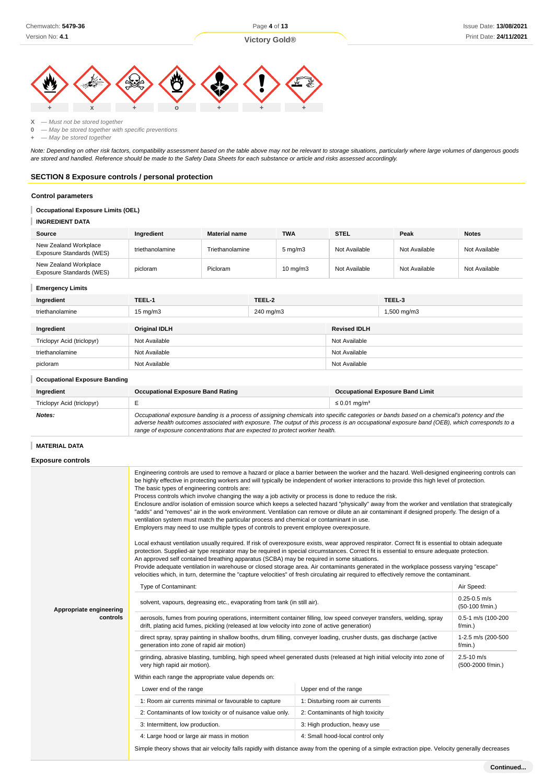## **Victory Gold®**



**X** — Must not be stored together

**0** — May be stored together with specific preventions

**+** — May be stored together

Note: Depending on other risk factors, compatibility assessment based on the table above may not be relevant to storage situations, particularly where large volumes of dangerous goods are stored and handled. Reference should be made to the Safety Data Sheets for each substance or article and risks assessed accordingly.

## **SECTION 8 Exposure controls / personal protection**

#### **Control parameters**

### **Occupational Exposure Limits (OEL)**

**INGREDIENT DATA**

| Source                                            | Ingredient      | <b>Material name</b> | <b>TWA</b>        | <b>STEL</b>   | Peak          | <b>Notes</b>  |
|---------------------------------------------------|-----------------|----------------------|-------------------|---------------|---------------|---------------|
| New Zealand Workplace<br>Exposure Standards (WES) | triethanolamine | Triethanolamine      | $5 \text{ mg/m}$  | Not Available | Not Available | Not Available |
| New Zealand Workplace<br>Exposure Standards (WES) | picloram        | Picloram             | $10 \text{ mg/m}$ | Not Available | Not Available | Not Available |

### **Emergency Limits**

| Ingredient                           | TEEL-1                                                                                                                                                                                                                                                                                                                                                                   | TEEL-2    |                               | TEEL-3                                  |
|--------------------------------------|--------------------------------------------------------------------------------------------------------------------------------------------------------------------------------------------------------------------------------------------------------------------------------------------------------------------------------------------------------------------------|-----------|-------------------------------|-----------------------------------------|
| triethanolamine                      | $15 \text{ mg/m}$                                                                                                                                                                                                                                                                                                                                                        | 240 mg/m3 |                               | 1,500 mg/m3                             |
| Ingredient                           | <b>Original IDLH</b>                                                                                                                                                                                                                                                                                                                                                     |           | <b>Revised IDLH</b>           |                                         |
| Triclopyr Acid (triclopyr)           | Not Available                                                                                                                                                                                                                                                                                                                                                            |           | Not Available                 |                                         |
| triethanolamine                      | Not Available                                                                                                                                                                                                                                                                                                                                                            |           | Not Available                 |                                         |
| picloram                             | Not Available                                                                                                                                                                                                                                                                                                                                                            |           | Not Available                 |                                         |
| <b>Occupational Exposure Banding</b> |                                                                                                                                                                                                                                                                                                                                                                          |           |                               |                                         |
| Ingredient                           | <b>Occupational Exposure Band Rating</b>                                                                                                                                                                                                                                                                                                                                 |           |                               | <b>Occupational Exposure Band Limit</b> |
| Triclopyr Acid (triclopyr)           | E                                                                                                                                                                                                                                                                                                                                                                        |           | $\leq$ 0.01 mg/m <sup>3</sup> |                                         |
| Notes:                               | Occupational exposure banding is a process of assigning chemicals into specific categories or bands based on a chemical's potency and the<br>adverse health outcomes associated with exposure. The output of this process is an occupational exposure band (OEB), which corresponds to a<br>range of exposure concentrations that are expected to protect worker health. |           |                               |                                         |

#### **MATERIAL DATA**

#### **Exposure controls**

|                         | Engineering controls are used to remove a hazard or place a barrier between the worker and the hazard. Well-designed engineering controls can<br>be highly effective in protecting workers and will typically be independent of worker interactions to provide this high level of protection.<br>The basic types of engineering controls are:<br>Process controls which involve changing the way a job activity or process is done to reduce the risk.<br>Enclosure and/or isolation of emission source which keeps a selected hazard "physically" away from the worker and ventilation that strategically<br>"adds" and "removes" air in the work environment. Ventilation can remove or dilute an air contaminant if designed properly. The design of a<br>ventilation system must match the particular process and chemical or contaminant in use.<br>Employers may need to use multiple types of controls to prevent employee overexposure.<br>Local exhaust ventilation usually required. If risk of overexposure exists, wear approved respirator. Correct fit is essential to obtain adequate<br>protection. Supplied-air type respirator may be required in special circumstances. Correct fit is essential to ensure adequate protection.<br>An approved self contained breathing apparatus (SCBA) may be required in some situations.<br>Provide adequate ventilation in warehouse or closed storage area. Air contaminants generated in the workplace possess varying "escape"<br>velocities which, in turn, determine the "capture velocities" of fresh circulating air required to effectively remove the contaminant. |                                     |  |  |  |
|-------------------------|-------------------------------------------------------------------------------------------------------------------------------------------------------------------------------------------------------------------------------------------------------------------------------------------------------------------------------------------------------------------------------------------------------------------------------------------------------------------------------------------------------------------------------------------------------------------------------------------------------------------------------------------------------------------------------------------------------------------------------------------------------------------------------------------------------------------------------------------------------------------------------------------------------------------------------------------------------------------------------------------------------------------------------------------------------------------------------------------------------------------------------------------------------------------------------------------------------------------------------------------------------------------------------------------------------------------------------------------------------------------------------------------------------------------------------------------------------------------------------------------------------------------------------------------------------------------------------------------------------------------------------------|-------------------------------------|--|--|--|
|                         | Type of Contaminant:                                                                                                                                                                                                                                                                                                                                                                                                                                                                                                                                                                                                                                                                                                                                                                                                                                                                                                                                                                                                                                                                                                                                                                                                                                                                                                                                                                                                                                                                                                                                                                                                                | Air Speed:                          |  |  |  |
| Appropriate engineering | solvent, vapours, degreasing etc., evaporating from tank (in still air).                                                                                                                                                                                                                                                                                                                                                                                                                                                                                                                                                                                                                                                                                                                                                                                                                                                                                                                                                                                                                                                                                                                                                                                                                                                                                                                                                                                                                                                                                                                                                            | $0.25 - 0.5$ m/s<br>(50-100 f/min.) |  |  |  |
| controls                | aerosols, fumes from pouring operations, intermittent container filling, low speed conveyer transfers, welding, spray<br>drift, plating acid fumes, pickling (released at low velocity into zone of active generation)                                                                                                                                                                                                                                                                                                                                                                                                                                                                                                                                                                                                                                                                                                                                                                                                                                                                                                                                                                                                                                                                                                                                                                                                                                                                                                                                                                                                              | 0.5-1 m/s (100-200<br>$f/min.$ )    |  |  |  |
|                         | direct spray, spray painting in shallow booths, drum filling, conveyer loading, crusher dusts, gas discharge (active<br>generation into zone of rapid air motion)                                                                                                                                                                                                                                                                                                                                                                                                                                                                                                                                                                                                                                                                                                                                                                                                                                                                                                                                                                                                                                                                                                                                                                                                                                                                                                                                                                                                                                                                   | 1-2.5 m/s (200-500<br>$f/min.$ )    |  |  |  |
|                         | grinding, abrasive blasting, tumbling, high speed wheel generated dusts (released at high initial velocity into zone of<br>very high rapid air motion).                                                                                                                                                                                                                                                                                                                                                                                                                                                                                                                                                                                                                                                                                                                                                                                                                                                                                                                                                                                                                                                                                                                                                                                                                                                                                                                                                                                                                                                                             | $2.5 - 10$ m/s<br>(500-2000 f/min.) |  |  |  |
|                         | Within each range the appropriate value depends on:                                                                                                                                                                                                                                                                                                                                                                                                                                                                                                                                                                                                                                                                                                                                                                                                                                                                                                                                                                                                                                                                                                                                                                                                                                                                                                                                                                                                                                                                                                                                                                                 |                                     |  |  |  |
|                         | Lower end of the range                                                                                                                                                                                                                                                                                                                                                                                                                                                                                                                                                                                                                                                                                                                                                                                                                                                                                                                                                                                                                                                                                                                                                                                                                                                                                                                                                                                                                                                                                                                                                                                                              | Upper end of the range              |  |  |  |
|                         | 1: Room air currents minimal or favourable to capture                                                                                                                                                                                                                                                                                                                                                                                                                                                                                                                                                                                                                                                                                                                                                                                                                                                                                                                                                                                                                                                                                                                                                                                                                                                                                                                                                                                                                                                                                                                                                                               | 1: Disturbing room air currents     |  |  |  |
|                         | 2: Contaminants of low toxicity or of nuisance value only.                                                                                                                                                                                                                                                                                                                                                                                                                                                                                                                                                                                                                                                                                                                                                                                                                                                                                                                                                                                                                                                                                                                                                                                                                                                                                                                                                                                                                                                                                                                                                                          | 2: Contaminants of high toxicity    |  |  |  |
|                         | 3: Intermittent, low production.                                                                                                                                                                                                                                                                                                                                                                                                                                                                                                                                                                                                                                                                                                                                                                                                                                                                                                                                                                                                                                                                                                                                                                                                                                                                                                                                                                                                                                                                                                                                                                                                    | 3: High production, heavy use       |  |  |  |
|                         | 4: Large hood or large air mass in motion                                                                                                                                                                                                                                                                                                                                                                                                                                                                                                                                                                                                                                                                                                                                                                                                                                                                                                                                                                                                                                                                                                                                                                                                                                                                                                                                                                                                                                                                                                                                                                                           | 4: Small hood-local control only    |  |  |  |
|                         | Simple theory shows that air velocity falls rapidly with distance away from the opening of a simple extraction pipe. Velocity generally decreases                                                                                                                                                                                                                                                                                                                                                                                                                                                                                                                                                                                                                                                                                                                                                                                                                                                                                                                                                                                                                                                                                                                                                                                                                                                                                                                                                                                                                                                                                   |                                     |  |  |  |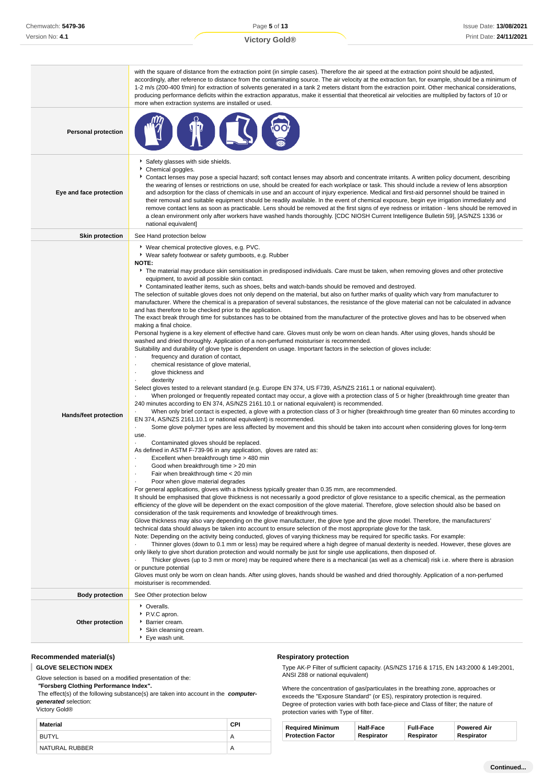|                              | with the square of distance from the extraction point (in simple cases). Therefore the air speed at the extraction point should be adjusted,<br>accordingly, after reference to distance from the contaminating source. The air velocity at the extraction fan, for example, should be a minimum of<br>1-2 m/s (200-400 f/min) for extraction of solvents generated in a tank 2 meters distant from the extraction point. Other mechanical considerations,<br>producing performance deficits within the extraction apparatus, make it essential that theoretical air velocities are multiplied by factors of 10 or<br>more when extraction systems are installed or used.                                                                                                                                                                                                                                                                                                                                                                                                                                                                                                                                                                                                                                                                                                                                                                                                                                                                                                                                                                                                                                                                                                                                                                                                                                                                                                                                                                                                                                                                                                                                                                                                                                                                                                                                                                                                                                                                                                                                                                                                                                                                                                                                                                                                                                                                                                                                                                                                                                                                                                                                                                                                                                                                                                                                                                                                                                                                                                                                                                                                                                                                                                                                                                                                                                                                                                                                                           |
|------------------------------|-------------------------------------------------------------------------------------------------------------------------------------------------------------------------------------------------------------------------------------------------------------------------------------------------------------------------------------------------------------------------------------------------------------------------------------------------------------------------------------------------------------------------------------------------------------------------------------------------------------------------------------------------------------------------------------------------------------------------------------------------------------------------------------------------------------------------------------------------------------------------------------------------------------------------------------------------------------------------------------------------------------------------------------------------------------------------------------------------------------------------------------------------------------------------------------------------------------------------------------------------------------------------------------------------------------------------------------------------------------------------------------------------------------------------------------------------------------------------------------------------------------------------------------------------------------------------------------------------------------------------------------------------------------------------------------------------------------------------------------------------------------------------------------------------------------------------------------------------------------------------------------------------------------------------------------------------------------------------------------------------------------------------------------------------------------------------------------------------------------------------------------------------------------------------------------------------------------------------------------------------------------------------------------------------------------------------------------------------------------------------------------------------------------------------------------------------------------------------------------------------------------------------------------------------------------------------------------------------------------------------------------------------------------------------------------------------------------------------------------------------------------------------------------------------------------------------------------------------------------------------------------------------------------------------------------------------------------------------------------------------------------------------------------------------------------------------------------------------------------------------------------------------------------------------------------------------------------------------------------------------------------------------------------------------------------------------------------------------------------------------------------------------------------------------------------------------------------------------------------------------------------------------------------------------------------------------------------------------------------------------------------------------------------------------------------------------------------------------------------------------------------------------------------------------------------------------------------------------------------------------------------------------------------------------------------------------------------------------------------------------------------------------------------|
| <b>Personal protection</b>   |                                                                                                                                                                                                                                                                                                                                                                                                                                                                                                                                                                                                                                                                                                                                                                                                                                                                                                                                                                                                                                                                                                                                                                                                                                                                                                                                                                                                                                                                                                                                                                                                                                                                                                                                                                                                                                                                                                                                                                                                                                                                                                                                                                                                                                                                                                                                                                                                                                                                                                                                                                                                                                                                                                                                                                                                                                                                                                                                                                                                                                                                                                                                                                                                                                                                                                                                                                                                                                                                                                                                                                                                                                                                                                                                                                                                                                                                                                                                                                                                                                     |
| Eye and face protection      | Safety glasses with side shields.<br>Chemical goggles.<br>Contact lenses may pose a special hazard; soft contact lenses may absorb and concentrate irritants. A written policy document, describing<br>the wearing of lenses or restrictions on use, should be created for each workplace or task. This should include a review of lens absorption<br>and adsorption for the class of chemicals in use and an account of injury experience. Medical and first-aid personnel should be trained in<br>their removal and suitable equipment should be readily available. In the event of chemical exposure, begin eye irrigation immediately and<br>remove contact lens as soon as practicable. Lens should be removed at the first signs of eye redness or irritation - lens should be removed in<br>a clean environment only after workers have washed hands thoroughly. [CDC NIOSH Current Intelligence Bulletin 59], [AS/NZS 1336 or<br>national equivalent]                                                                                                                                                                                                                                                                                                                                                                                                                                                                                                                                                                                                                                                                                                                                                                                                                                                                                                                                                                                                                                                                                                                                                                                                                                                                                                                                                                                                                                                                                                                                                                                                                                                                                                                                                                                                                                                                                                                                                                                                                                                                                                                                                                                                                                                                                                                                                                                                                                                                                                                                                                                                                                                                                                                                                                                                                                                                                                                                                                                                                                                                       |
| <b>Skin protection</b>       | See Hand protection below                                                                                                                                                                                                                                                                                                                                                                                                                                                                                                                                                                                                                                                                                                                                                                                                                                                                                                                                                                                                                                                                                                                                                                                                                                                                                                                                                                                                                                                                                                                                                                                                                                                                                                                                                                                                                                                                                                                                                                                                                                                                                                                                                                                                                                                                                                                                                                                                                                                                                                                                                                                                                                                                                                                                                                                                                                                                                                                                                                                                                                                                                                                                                                                                                                                                                                                                                                                                                                                                                                                                                                                                                                                                                                                                                                                                                                                                                                                                                                                                           |
| <b>Hands/feet protection</b> | ▶ Wear chemical protective gloves, e.g. PVC.<br>▶ Wear safety footwear or safety gumboots, e.g. Rubber<br><b>NOTE:</b><br>The material may produce skin sensitisation in predisposed individuals. Care must be taken, when removing gloves and other protective<br>equipment, to avoid all possible skin contact.<br>▶ Contaminated leather items, such as shoes, belts and watch-bands should be removed and destroyed.<br>The selection of suitable gloves does not only depend on the material, but also on further marks of quality which vary from manufacturer to<br>manufacturer. Where the chemical is a preparation of several substances, the resistance of the glove material can not be calculated in advance<br>and has therefore to be checked prior to the application.<br>The exact break through time for substances has to be obtained from the manufacturer of the protective gloves and has to be observed when<br>making a final choice.<br>Personal hygiene is a key element of effective hand care. Gloves must only be worn on clean hands. After using gloves, hands should be<br>washed and dried thoroughly. Application of a non-perfumed moisturiser is recommended.<br>Suitability and durability of glove type is dependent on usage. Important factors in the selection of gloves include:<br>frequency and duration of contact,<br>٠<br>chemical resistance of glove material,<br>٠<br>glove thickness and<br>$\blacksquare$<br>dexterity<br>Select gloves tested to a relevant standard (e.g. Europe EN 374, US F739, AS/NZS 2161.1 or national equivalent).<br>When prolonged or frequently repeated contact may occur, a glove with a protection class of 5 or higher (breakthrough time greater than<br>240 minutes according to EN 374, AS/NZS 2161.10.1 or national equivalent) is recommended.<br>When only brief contact is expected, a glove with a protection class of 3 or higher (breakthrough time greater than 60 minutes according to<br>EN 374, AS/NZS 2161.10.1 or national equivalent) is recommended.<br>Some glove polymer types are less affected by movement and this should be taken into account when considering gloves for long-term<br>$\blacksquare$<br>use.<br>Contaminated gloves should be replaced.<br>$\cdot$<br>As defined in ASTM F-739-96 in any application, gloves are rated as:<br>Excellent when breakthrough time > 480 min<br>Good when breakthrough time > 20 min<br>Fair when breakthrough time < 20 min<br>Poor when glove material degrades<br>For general applications, gloves with a thickness typically greater than 0.35 mm, are recommended.<br>It should be emphasised that glove thickness is not necessarily a good predictor of glove resistance to a specific chemical, as the permeation<br>efficiency of the glove will be dependent on the exact composition of the glove material. Therefore, glove selection should also be based on<br>consideration of the task requirements and knowledge of breakthrough times.<br>Glove thickness may also vary depending on the glove manufacturer, the glove type and the glove model. Therefore, the manufacturers'<br>technical data should always be taken into account to ensure selection of the most appropriate glove for the task.<br>Note: Depending on the activity being conducted, gloves of varying thickness may be required for specific tasks. For example:<br>Thinner gloves (down to 0.1 mm or less) may be required where a high degree of manual dexterity is needed. However, these gloves are<br>only likely to give short duration protection and would normally be just for single use applications, then disposed of.<br>Thicker gloves (up to 3 mm or more) may be required where there is a mechanical (as well as a chemical) risk i.e. where there is abrasion<br>or puncture potential<br>Gloves must only be worn on clean hands. After using gloves, hands should be washed and dried thoroughly. Application of a non-perfumed<br>moisturiser is recommended. |
| <b>Body protection</b>       | See Other protection below                                                                                                                                                                                                                                                                                                                                                                                                                                                                                                                                                                                                                                                                                                                                                                                                                                                                                                                                                                                                                                                                                                                                                                                                                                                                                                                                                                                                                                                                                                                                                                                                                                                                                                                                                                                                                                                                                                                                                                                                                                                                                                                                                                                                                                                                                                                                                                                                                                                                                                                                                                                                                                                                                                                                                                                                                                                                                                                                                                                                                                                                                                                                                                                                                                                                                                                                                                                                                                                                                                                                                                                                                                                                                                                                                                                                                                                                                                                                                                                                          |
| Other protection             | • Overalls.<br>P.V.C apron.<br>Barrier cream.<br>Skin cleansing cream.<br>▶ Eye wash unit.                                                                                                                                                                                                                                                                                                                                                                                                                                                                                                                                                                                                                                                                                                                                                                                                                                                                                                                                                                                                                                                                                                                                                                                                                                                                                                                                                                                                                                                                                                                                                                                                                                                                                                                                                                                                                                                                                                                                                                                                                                                                                                                                                                                                                                                                                                                                                                                                                                                                                                                                                                                                                                                                                                                                                                                                                                                                                                                                                                                                                                                                                                                                                                                                                                                                                                                                                                                                                                                                                                                                                                                                                                                                                                                                                                                                                                                                                                                                          |

## **Recommended material(s)**

**GLOVE SELECTION INDEX**

Glove selection is based on a modified presentation of the:

 **"Forsberg Clothing Performance Index".**

 The effect(s) of the following substance(s) are taken into account in the **computergenerated** selection:

Victory Gold®

| Material       | CPI |
|----------------|-----|
| BUTYL          | A   |
| NATURAL RUBBER | A   |

## **Respiratory protection**

Type AK-P Filter of sufficient capacity. (AS/NZS 1716 & 1715, EN 143:2000 & 149:2001, ANSI Z88 or national equivalent)

Where the concentration of gas/particulates in the breathing zone, approaches or exceeds the "Exposure Standard" (or ES), respiratory protection is required. Degree of protection varies with both face-piece and Class of filter; the nature of protection varies with Type of filter.

| <b>Required Minimum</b><br><b>Half-Face</b><br><b>Protection Factor</b><br>Respirator | <b>Full-Face</b><br>Respirator | <b>Powered Air</b><br>Respirator |
|---------------------------------------------------------------------------------------|--------------------------------|----------------------------------|
|---------------------------------------------------------------------------------------|--------------------------------|----------------------------------|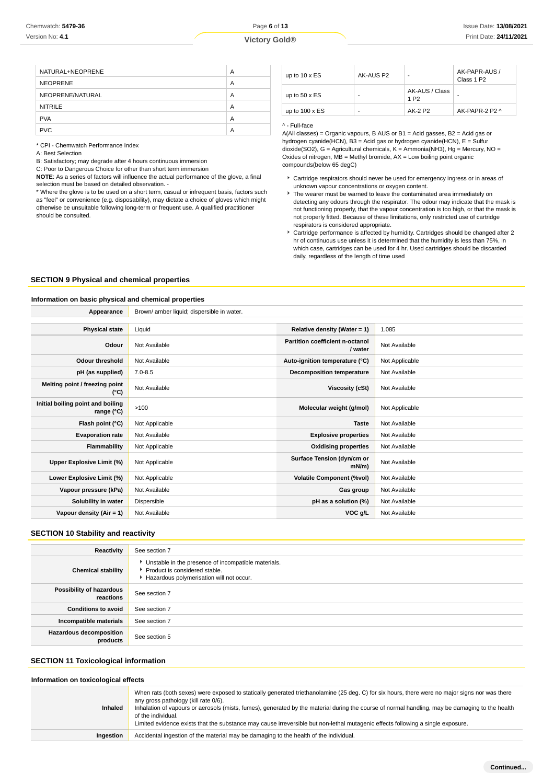| NATURAL+NEOPRENE | A |
|------------------|---|
| <b>NEOPRENE</b>  | A |
| NEOPRENE/NATURAL | A |
| <b>NITRILE</b>   | A |
| <b>PVA</b>       | A |
| <b>PVC</b>       | A |
|                  |   |

\* CPI - Chemwatch Performance Index

A: Best Selection

B: Satisfactory; may degrade after 4 hours continuous immersion

C: Poor to Dangerous Choice for other than short term immersion

**NOTE**: As a series of factors will influence the actual performance of the glove, a final selection must be based on detailed observation. -

\* Where the glove is to be used on a short term, casual or infrequent basis, factors such as "feel" or convenience (e.g. disposability), may dictate a choice of gloves which might otherwise be unsuitable following long-term or frequent use. A qualified practitioner should be consulted.

| up to $10 \times ES$  | AK-AUS P2 | ٠                                  | AK-PAPR-AUS /<br>Class 1 P <sub>2</sub> |
|-----------------------|-----------|------------------------------------|-----------------------------------------|
| up to $50 \times ES$  |           | AK-AUS / Class<br>1 P <sub>2</sub> | -                                       |
| up to $100 \times ES$ | ٠         | AK-2 P2                            | AK-PAPR-2 P2 ^                          |

#### ^ - Full-face

A(All classes) = Organic vapours, B AUS or B1 = Acid gasses, B2 = Acid gas or hydrogen cyanide(HCN), B3 = Acid gas or hydrogen cyanide(HCN), E = Sulfur dioxide(SO2), G = Agricultural chemicals, K = Ammonia(NH3), Hg = Mercury, NO = Oxides of nitrogen,  $MB =$  Methyl bromide,  $AX =$  Low boiling point organic compounds(below 65 degC)

- Cartridge respirators should never be used for emergency ingress or in areas of unknown vapour concentrations or oxygen content.
- The wearer must be warned to leave the contaminated area immediately on detecting any odours through the respirator. The odour may indicate that the mask is not functioning properly, that the vapour concentration is too high, or that the mask is not properly fitted. Because of these limitations, only restricted use of cartridge respirators is considered appropriate.
- Cartridge performance is affected by humidity. Cartridges should be changed after 2 hr of continuous use unless it is determined that the humidity is less than 75%, in which case, cartridges can be used for 4 hr. Used cartridges should be discarded daily, regardless of the length of time used

### **SECTION 9 Physical and chemical properties**

### **Information on basic physical and chemical properties**

| Brown/ amber liquid; dispersible in water. |                                            |                |
|--------------------------------------------|--------------------------------------------|----------------|
|                                            |                                            |                |
| Liquid                                     | Relative density (Water = 1)               | 1.085          |
| Not Available                              | Partition coefficient n-octanol<br>/ water | Not Available  |
| Not Available                              | Auto-ignition temperature (°C)             | Not Applicable |
| $7.0 - 8.5$                                | <b>Decomposition temperature</b>           | Not Available  |
| Not Available                              | Viscosity (cSt)                            | Not Available  |
| >100                                       | Molecular weight (g/mol)                   | Not Applicable |
| Not Applicable                             | <b>Taste</b>                               | Not Available  |
| Not Available                              | <b>Explosive properties</b>                | Not Available  |
| Not Applicable                             | <b>Oxidising properties</b>                | Not Available  |
| Not Applicable                             | Surface Tension (dyn/cm or<br>$mN/m$ )     | Not Available  |
| Not Applicable                             | <b>Volatile Component (%vol)</b>           | Not Available  |
| Not Available                              | Gas group                                  | Not Available  |
| Dispersible                                | pH as a solution (%)                       | Not Available  |
| Not Available                              | VOC g/L                                    | Not Available  |
|                                            |                                            |                |

### **SECTION 10 Stability and reactivity**

| Reactivity                                 | See section 7                                                                                                                      |
|--------------------------------------------|------------------------------------------------------------------------------------------------------------------------------------|
| <b>Chemical stability</b>                  | • Unstable in the presence of incompatible materials.<br>Product is considered stable.<br>Hazardous polymerisation will not occur. |
| Possibility of hazardous<br>reactions      | See section 7                                                                                                                      |
| <b>Conditions to avoid</b>                 | See section 7                                                                                                                      |
| Incompatible materials                     | See section 7                                                                                                                      |
| <b>Hazardous decomposition</b><br>products | See section 5                                                                                                                      |

## **SECTION 11 Toxicological information**

#### **Information on toxicological effects**

| <b>Inhaled</b> | When rats (both sexes) were exposed to statically generated triethanolamine (25 deg. C) for six hours, there were no major signs nor was there<br>any gross pathology (kill rate 0/6).<br>Inhalation of vapours or aerosols (mists, fumes), generated by the material during the course of normal handling, may be damaging to the health<br>of the individual.<br>Limited evidence exists that the substance may cause irreversible but non-lethal mutagenic effects following a single exposure. |  |
|----------------|----------------------------------------------------------------------------------------------------------------------------------------------------------------------------------------------------------------------------------------------------------------------------------------------------------------------------------------------------------------------------------------------------------------------------------------------------------------------------------------------------|--|
| Ingestion      | Accidental ingestion of the material may be damaging to the health of the individual.                                                                                                                                                                                                                                                                                                                                                                                                              |  |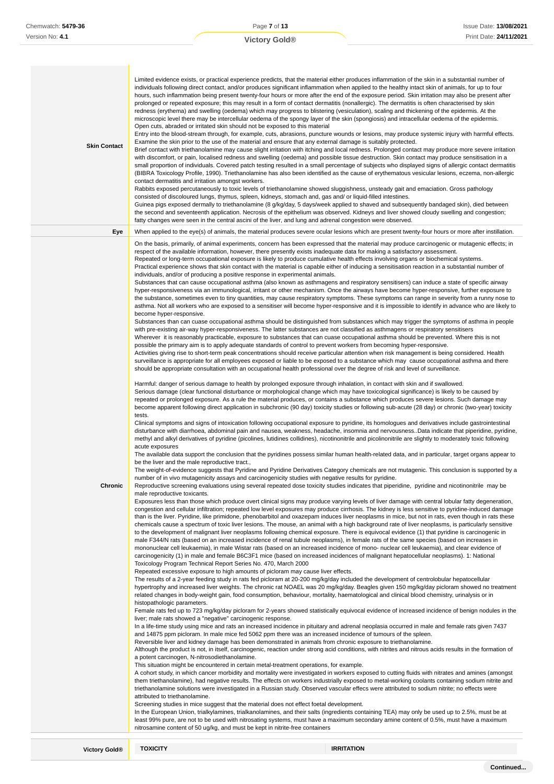| <b>Skin Contact</b> | Limited evidence exists, or practical experience predicts, that the material either produces inflammation of the skin in a substantial number of<br>individuals following direct contact, and/or produces significant inflammation when applied to the healthy intact skin of animals, for up to four<br>hours, such inflammation being present twenty-four hours or more after the end of the exposure period. Skin irritation may also be present after<br>prolonged or repeated exposure; this may result in a form of contact dermatitis (nonallergic). The dermatitis is often characterised by skin<br>redness (erythema) and swelling (oedema) which may progress to blistering (vesiculation), scaling and thickening of the epidermis. At the<br>microscopic level there may be intercellular oedema of the spongy layer of the skin (spongiosis) and intracellular oedema of the epidermis.<br>Open cuts, abraded or irritated skin should not be exposed to this material<br>Entry into the blood-stream through, for example, cuts, abrasions, puncture wounds or lesions, may produce systemic injury with harmful effects.<br>Examine the skin prior to the use of the material and ensure that any external damage is suitably protected.<br>Brief contact with triethanolamine may cause slight irritation with itching and local redness. Prolonged contact may produce more severe irritation<br>with discomfort, or pain, localised redness and swelling (oedema) and possible tissue destruction. Skin contact may produce sensitisation in a<br>small proportion of individuals. Covered patch testing resulted in a small percentage of subjects who displayed signs of allergic contact dermatitis<br>(BIBRA Toxicology Profile, 1990). Triethanolamine has also been identified as the cause of erythematous vesicular lesions, eczema, non-allergic<br>contact dermatitis and irritation amongst workers.<br>Rabbits exposed percutaneously to toxic levels of triethanolamine showed sluggishness, unsteady gait and emaciation. Gross pathology<br>consisted of discoloured lungs, thymus, spleen, kidneys, stomach and, gas and/ or liquid-filled intestines.<br>Guinea pigs exposed dermally to triethanolamine (8 g/kg/day, 5 days/week applied to shaved and subsequently bandaged skin), died between<br>the second and seventeenth application. Necrosis of the epithelium was observed. Kidneys and liver showed cloudy swelling and congestion;<br>fatty changes were seen in the central ascini of the liver, and lung and adrenal congestion were observed.                                                                                                                                                                                                                                                                                                                                                                                                                                                                                                                                                                                                                                                                                                                                                                                                                                                                                                                                                                                                                                                                                                                                                                                                                                                                                                                                                                                                                                                                                                                                                                                                                                                                                                                                                                                                                                                                                                                                                                                                                                                                                                                                                                                                                                                                                                                                                                                                                                                                                                                                                                                                                                                                                                                                                                                                                                                                                                                                                                                                                                                                                                                                                                                                                                                                                                                                                                                                                                                                                                                                                                                                                                                                                                                                                                                                                                                                                                                                                                                                                                                                                                                                                                                                                                                                                                                                                                                                                                                                                                                                                                                                                                                                                                                                                                                                                                                                                                                                                                                                                                                                                                                               |
|---------------------|--------------------------------------------------------------------------------------------------------------------------------------------------------------------------------------------------------------------------------------------------------------------------------------------------------------------------------------------------------------------------------------------------------------------------------------------------------------------------------------------------------------------------------------------------------------------------------------------------------------------------------------------------------------------------------------------------------------------------------------------------------------------------------------------------------------------------------------------------------------------------------------------------------------------------------------------------------------------------------------------------------------------------------------------------------------------------------------------------------------------------------------------------------------------------------------------------------------------------------------------------------------------------------------------------------------------------------------------------------------------------------------------------------------------------------------------------------------------------------------------------------------------------------------------------------------------------------------------------------------------------------------------------------------------------------------------------------------------------------------------------------------------------------------------------------------------------------------------------------------------------------------------------------------------------------------------------------------------------------------------------------------------------------------------------------------------------------------------------------------------------------------------------------------------------------------------------------------------------------------------------------------------------------------------------------------------------------------------------------------------------------------------------------------------------------------------------------------------------------------------------------------------------------------------------------------------------------------------------------------------------------------------------------------------------------------------------------------------------------------------------------------------------------------------------------------------------------------------------------------------------------------------------------------------------------------------------------------------------------------------------------------------------------------------------------------------------------------------------------------------------------------------------------------------------------------------------------------------------------------------------------------------------------------------------------------------------------------------------------------------------------------------------------------------------------------------------------------------------------------------------------------------------------------------------------------------------------------------------------------------------------------------------------------------------------------------------------------------------------------------------------------------------------------------------------------------------------------------------------------------------------------------------------------------------------------------------------------------------------------------------------------------------------------------------------------------------------------------------------------------------------------------------------------------------------------------------------------------------------------------------------------------------------------------------------------------------------------------------------------------------------------------------------------------------------------------------------------------------------------------------------------------------------------------------------------------------------------------------------------------------------------------------------------------------------------------------------------------------------------------------------------------------------------------------------------------------------------------------------------------------------------------------------------------------------------------------------------------------------------------------------------------------------------------------------------------------------------------------------------------------------------------------------------------------------------------------------------------------------------------------------------------------------------------------------------------------------------------------------------------------------------------------------------------------------------------------------------------------------------------------------------------------------------------------------------------------------------------------------------------------------------------------------------------------------------------------------------------------------------------------------------------------------------------------------------------------------------------------------------------------------------------------------------------------------------------------------------------------------------------------------------------------------------------------------------------------------------------------------------------------------------------------------------------------------------------------------------------------------------------------------------------------------------------------------------------------------------------------------------------------------------------------------------------------------------------------------------------------------------------------------------------------------------------------------------------------------------------------------------------------------------------------------------------------------------------------------------------------------------------------------------------------------------------------------------------------------------------------------------------------------------------------------------------------------------------------------------------------------------------------------------------------------------------------------------------------------------------------------------------------------------------------------------------------------------------------------------------------------------------------------------------------------------------------------------------------------------------------------------------------------------------------------------------------------------------------------------------------------------------------------------------------------------------------------------------------------------------------------------------------------------------------------------------------------------------------------------------------------|
| Eye                 | When applied to the eye(s) of animals, the material produces severe ocular lesions which are present twenty-four hours or more after instillation.                                                                                                                                                                                                                                                                                                                                                                                                                                                                                                                                                                                                                                                                                                                                                                                                                                                                                                                                                                                                                                                                                                                                                                                                                                                                                                                                                                                                                                                                                                                                                                                                                                                                                                                                                                                                                                                                                                                                                                                                                                                                                                                                                                                                                                                                                                                                                                                                                                                                                                                                                                                                                                                                                                                                                                                                                                                                                                                                                                                                                                                                                                                                                                                                                                                                                                                                                                                                                                                                                                                                                                                                                                                                                                                                                                                                                                                                                                                                                                                                                                                                                                                                                                                                                                                                                                                                                                                                                                                                                                                                                                                                                                                                                                                                                                                                                                                                                                                                                                                                                                                                                                                                                                                                                                                                                                                                                                                                                                                                                                                                                                                                                                                                                                                                                                                                                                                                                                                                                                                                                                                                                                                                                                                                                                                                                                                                                                                                                                                                                                                                                                                                                                                                                                                                                                                                                                                                                                                                                                                                                                                                                                                                                                                                                                                                                                                                                                                                                                                                                                                                                                             |
| Chronic             | On the basis, primarily, of animal experiments, concern has been expressed that the material may produce carcinogenic or mutagenic effects; in<br>respect of the available information, however, there presently exists inadequate data for making a satisfactory assessment.<br>Repeated or long-term occupational exposure is likely to produce cumulative health effects involving organs or biochemical systems.<br>Practical experience shows that skin contact with the material is capable either of inducing a sensitisation reaction in a substantial number of<br>individuals, and/or of producing a positive response in experimental animals.<br>Substances that can cause occupational asthma (also known as asthmagens and respiratory sensitisers) can induce a state of specific airway<br>hyper-responsiveness via an immunological, irritant or other mechanism. Once the airways have become hyper-responsive, further exposure to<br>the substance, sometimes even to tiny quantities, may cause respiratory symptoms. These symptoms can range in severity from a runny nose to<br>asthma. Not all workers who are exposed to a sensitiser will become hyper-responsive and it is impossible to identify in advance who are likely to<br>become hyper-responsive.<br>Substances than can cuase occupational asthma should be distinguished from substances which may trigger the symptoms of asthma in people<br>with pre-existing air-way hyper-responsiveness. The latter substances are not classified as asthmagens or respiratory sensitisers<br>Wherever it is reasonably practicable, exposure to substances that can cuase occupational asthma should be prevented. Where this is not<br>possible the primary aim is to apply adequate standards of control to prevent workers from becoming hyper-responsive.<br>Activities giving rise to short-term peak concentrations should receive particular attention when risk management is being considered. Health<br>surveillance is appropriate for all employees exposed or liable to be exposed to a substance which may cause occupational asthma and there<br>should be appropriate consultation with an occupational health professional over the degree of risk and level of surveillance.<br>Harmful: danger of serious damage to health by prolonged exposure through inhalation, in contact with skin and if swallowed.<br>Serious damage (clear functional disturbance or morphological change which may have toxicological significance) is likely to be caused by<br>repeated or prolonged exposure. As a rule the material produces, or contains a substance which produces severe lesions. Such damage may<br>become apparent following direct application in subchronic (90 day) toxicity studies or following sub-acute (28 day) or chronic (two-year) toxicity<br>tests.<br>Clinical symptoms and signs of intoxication following occupational exposure to pyridine, its homologues and derivatives include gastrointestinal<br>disturbance with diarrhoea, abdominal pain and nausea, weakness, headache, insomnia and nervousness. Data indicate that piperidine, pyridine,<br>methyl and alkyl derivatives of pyridine (picolines, lutidines collidines), nicotinonitrile and picolinonitrile are slightly to moderately toxic following<br>acute exposures<br>The available data support the conclusion that the pyridines possess similar human health-related data, and in particular, target organs appear to<br>be the liver and the male reproductive tract.,<br>The weight-of-evidence suggests that Pyridine and Pyridine Derivatives Category chemicals are not mutagenic. This conclusion is supported by a<br>number of in vivo mutagenicity assays and carcinogenicity studies with negative results for pyridine.<br>Reproductive screening evaluations using several repeated dose toxicity studies indicates that piperidine, pyridine and nicotinonitrile may be<br>male reproductive toxicants.<br>Exposures less than those which produce overt clinical signs may produce varying levels of liver damage with central lobular fatty degeneration,<br>congestion and cellular infiltration; repeated low level exposures may produce cirrhosis. The kidney is less sensitive to pyridine-induced damage<br>than is the liver. Pyridine, like primidone, phenobarbitol and oxazepam induces liver neoplasms in mice, but not in rats, even though in rats these<br>chemicals cause a spectrum of toxic liver lesions. The mouse, an animal with a high background rate of liver neoplasms, is particularly sensitive<br>to the development of malignant liver neoplasms following chemical exposure. There is equivocal evidence (1) that pyridine is carcinogenic in<br>male F344/N rats (based on an increased incidence of renal tubule neoplasms), in female rats of the same species (based on increases in<br>mononuclear cell leukaemia), in male Wistar rats (based on an increased incidence of mono- nuclear cell leukaemia), and clear evidence of<br>carcinogenicity (1) in male and female B6C3F1 mice (based on increased incidences of malignant hepatocellular neoplasms). 1: National<br>Toxicology Program Technical Report Series No. 470, March 2000<br>Repeated excessive exposure to high amounts of picloram may cause liver effects.<br>The results of a 2-year feeding study in rats fed picloram at 20-200 mg/kg/day included the development of centrolobular hepatocellular<br>hypertrophy and increased liver weights. The chronic rat NOAEL was 20 mg/kg/day. Beagles given 150 mg/kg/day picloram showed no treatment<br>related changes in body-weight gain, food consumption, behaviour, mortality, haematological and clinical blood chemistry, urinalysis or in<br>histopathologic parameters.<br>Female rats fed up to 723 mg/kg/day picloram for 2-years showed statistically equivocal evidence of increased incidence of benign nodules in the<br>liver; male rats showed a "negative" carcinogenic response.<br>In a life-time study using mice and rats an increased incidence in pituitary and adrenal neoplasia occurred in male and female rats given 7437<br>and 14875 ppm picloram. In male mice fed 5062 ppm there was an increased incidence of tumours of the spleen.<br>Reversible liver and kidney damage has been demonstrated in animals from chronic exposure to triethanolamine.<br>Although the product is not, in itself, carcinogenic, reaction under strong acid conditions, with nitrites and nitrous acids results in the formation of<br>a potent carcinogen, N-nitrosodiethanolamine.<br>This situation might be encountered in certain metal-treatment operations, for example.<br>A cohort study, in which cancer morbidity and mortality were investigated in workers exposed to cutting fluids with nitrates and amines (amongst<br>them triethanolamine), had negative results. The effects on workers industrially exposed to metal-working coolants containing sodium nitrite and<br>triethanolamine solutions were investigated in a Russian study. Observed vascular effecs were attributed to sodium nitrite; no effects were<br>attributed to triethanolamine.<br>Screening studies in mice suggest that the material does not effect foetal development.<br>In the European Union, trialkylamines, trialkanolamines, and their salts (ingredients containing TEA) may only be used up to 2.5%, must be at<br>least 99% pure, are not to be used with nitrosating systems, must have a maximum secondary amine content of 0.5%, must have a maximum<br>nitrosamine content of 50 ug/kg, and must be kept in nitrite-free containers |

**Victory Gold® TOXICITY IRRITATION**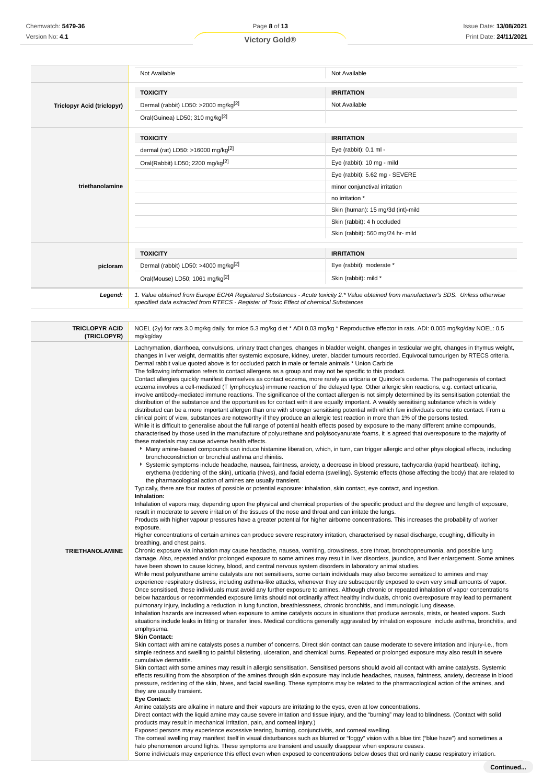|                                   | Not Available                                                                                                                                                                                                                   | Not Available                     |
|-----------------------------------|---------------------------------------------------------------------------------------------------------------------------------------------------------------------------------------------------------------------------------|-----------------------------------|
|                                   | <b>TOXICITY</b>                                                                                                                                                                                                                 | <b>IRRITATION</b>                 |
| <b>Triclopyr Acid (triclopyr)</b> | Dermal (rabbit) LD50: >2000 mg/kg <sup>[2]</sup>                                                                                                                                                                                | Not Available                     |
|                                   | Oral(Guinea) LD50; 310 mg/kg <sup>[2]</sup>                                                                                                                                                                                     |                                   |
|                                   | <b>TOXICITY</b>                                                                                                                                                                                                                 | <b>IRRITATION</b>                 |
|                                   | dermal (rat) LD50: >16000 mg/kg <sup>[2]</sup>                                                                                                                                                                                  | Eye (rabbit): 0.1 ml -            |
|                                   | Oral(Rabbit) LD50; 2200 mg/kg <sup>[2]</sup>                                                                                                                                                                                    | Eye (rabbit): 10 mg - mild        |
|                                   |                                                                                                                                                                                                                                 | Eye (rabbit): 5.62 mg - SEVERE    |
| triethanolamine                   |                                                                                                                                                                                                                                 | minor conjunctival irritation     |
|                                   |                                                                                                                                                                                                                                 | no irritation *                   |
|                                   |                                                                                                                                                                                                                                 | Skin (human): 15 mg/3d (int)-mild |
|                                   |                                                                                                                                                                                                                                 | Skin (rabbit): 4 h occluded       |
|                                   |                                                                                                                                                                                                                                 | Skin (rabbit): 560 mg/24 hr- mild |
|                                   | <b>TOXICITY</b>                                                                                                                                                                                                                 | <b>IRRITATION</b>                 |
| picloram                          | Dermal (rabbit) LD50: >4000 mg/kg <sup>[2]</sup>                                                                                                                                                                                | Eye (rabbit): moderate *          |
|                                   | Oral(Mouse) LD50; 1061 mg/kg <sup>[2]</sup>                                                                                                                                                                                     | Skin (rabbit): mild *             |
| Legend:                           | 1. Value obtained from Europe ECHA Registered Substances - Acute toxicity 2.* Value obtained from manufacturer's SDS. Unless otherwise<br>specified data extracted from RTECS - Register of Toxic Effect of chemical Substances |                                   |

| <b>TRICLOPYR ACID</b><br>(TRICLOPYR) | NOEL (2y) for rats 3.0 mg/kg daily, for mice 5.3 mg/kg diet * ADI 0.03 mg/kg * Reproductive effector in rats. ADI: 0.005 mg/kg/day NOEL: 0.5<br>mg/kg/day                                                                                                                                                                                                                                                                                                                                                                                                                                                                                                                                                                                                                                                                                                                                                                                                                                                                                                                                                                                                                                                                                                                                                                                                                                                                                                                                                                                                                                                                                                                                                                                                                                                                                                                                                                                                                                                                                                                                                                                                                                                                                                                                                                                                                                                                                                                                                                                                                                                                                                                                                                                                                                                                                                                                                                                                                                                                                                         |
|--------------------------------------|-------------------------------------------------------------------------------------------------------------------------------------------------------------------------------------------------------------------------------------------------------------------------------------------------------------------------------------------------------------------------------------------------------------------------------------------------------------------------------------------------------------------------------------------------------------------------------------------------------------------------------------------------------------------------------------------------------------------------------------------------------------------------------------------------------------------------------------------------------------------------------------------------------------------------------------------------------------------------------------------------------------------------------------------------------------------------------------------------------------------------------------------------------------------------------------------------------------------------------------------------------------------------------------------------------------------------------------------------------------------------------------------------------------------------------------------------------------------------------------------------------------------------------------------------------------------------------------------------------------------------------------------------------------------------------------------------------------------------------------------------------------------------------------------------------------------------------------------------------------------------------------------------------------------------------------------------------------------------------------------------------------------------------------------------------------------------------------------------------------------------------------------------------------------------------------------------------------------------------------------------------------------------------------------------------------------------------------------------------------------------------------------------------------------------------------------------------------------------------------------------------------------------------------------------------------------------------------------------------------------------------------------------------------------------------------------------------------------------------------------------------------------------------------------------------------------------------------------------------------------------------------------------------------------------------------------------------------------------------------------------------------------------------------------------------------------|
|                                      | Lachrymation, diarrhoea, convulsions, urinary tract changes, changes in bladder weight, changes in testicular weight, changes in thymus weight,<br>changes in liver weight, dermatitis after systemic exposure, kidney, ureter, bladder tumours recorded. Equivocal tumourigen by RTECS criteria.<br>Dermal rabbit value quoted above is for occluded patch in male or female animals * Union Carbide<br>The following information refers to contact allergens as a group and may not be specific to this product.<br>Contact allergies quickly manifest themselves as contact eczema, more rarely as urticaria or Quincke's oedema. The pathogenesis of contact<br>eczema involves a cell-mediated (T lymphocytes) immune reaction of the delayed type. Other allergic skin reactions, e.g. contact urticaria,<br>involve antibody-mediated immune reactions. The significance of the contact allergen is not simply determined by its sensitisation potential: the<br>distribution of the substance and the opportunities for contact with it are equally important. A weakly sensitising substance which is widely<br>distributed can be a more important allergen than one with stronger sensitising potential with which few individuals come into contact. From a<br>clinical point of view, substances are noteworthy if they produce an allergic test reaction in more than 1% of the persons tested.<br>While it is difficult to generalise about the full range of potential health effects posed by exposure to the many different amine compounds,<br>characterised by those used in the manufacture of polyurethane and polyisocyanurate foams, it is agreed that overexposure to the majority of<br>these materials may cause adverse health effects.<br>▶ Many amine-based compounds can induce histamine liberation, which, in turn, can trigger allergic and other physiological effects, including<br>bronchoconstriction or bronchial asthma and rhinitis.<br>▶ Systemic symptoms include headache, nausea, faintness, anxiety, a decrease in blood pressure, tachycardia (rapid heartbeat), itching,<br>erythema (reddening of the skin), urticaria (hives), and facial edema (swelling). Systemic effects (those affecting the body) that are related to<br>the pharmacological action of amines are usually transient.<br>Typically, there are four routes of possible or potential exposure: inhalation, skin contact, eye contact, and ingestion.<br>Inhalation:<br>Inhalation of vapors may, depending upon the physical and chemical properties of the specific product and the degree and length of exposure,<br>result in moderate to severe irritation of the tissues of the nose and throat and can irritate the lungs.<br>Products with higher vapour pressures have a greater potential for higher airborne concentrations. This increases the probability of worker<br>exposure.<br>Higher concentrations of certain amines can produce severe respiratory irritation, characterised by nasal discharge, coughing, difficulty in |
| <b>TRIETHANOLAMINE</b>               | breathing, and chest pains.<br>Chronic exposure via inhalation may cause headache, nausea, vomiting, drowsiness, sore throat, bronchopneumonia, and possible lung                                                                                                                                                                                                                                                                                                                                                                                                                                                                                                                                                                                                                                                                                                                                                                                                                                                                                                                                                                                                                                                                                                                                                                                                                                                                                                                                                                                                                                                                                                                                                                                                                                                                                                                                                                                                                                                                                                                                                                                                                                                                                                                                                                                                                                                                                                                                                                                                                                                                                                                                                                                                                                                                                                                                                                                                                                                                                                 |
|                                      | damage. Also, repeated and/or prolonged exposure to some amines may result in liver disorders, jaundice, and liver enlargement. Some amines<br>have been shown to cause kidney, blood, and central nervous system disorders in laboratory animal studies.<br>While most polyurethane amine catalysts are not sensitisers, some certain individuals may also become sensitized to amines and may<br>experience respiratory distress, including asthma-like attacks, whenever they are subsequently exposed to even very small amounts of vapor.<br>Once sensitised, these individuals must avoid any further exposure to amines. Although chronic or repeated inhalation of vapor concentrations<br>below hazardous or recommended exposure limits should not ordinarily affect healthy individuals, chronic overexposure may lead to permanent<br>pulmonary injury, including a reduction in lung function, breathlessness, chronic bronchitis, and immunologic lung disease.<br>Inhalation hazards are increased when exposure to amine catalysts occurs in situations that produce aerosols, mists, or heated vapors. Such<br>situations include leaks in fitting or transfer lines. Medical conditions generally aggravated by inhalation exposure include asthma, bronchitis, and<br>emphysema.<br><b>Skin Contact:</b>                                                                                                                                                                                                                                                                                                                                                                                                                                                                                                                                                                                                                                                                                                                                                                                                                                                                                                                                                                                                                                                                                                                                                                                                                                                                                                                                                                                                                                                                                                                                                                                                                                                                                                                                       |
|                                      | Skin contact with amine catalysts poses a number of concerns. Direct skin contact can cause moderate to severe irritation and injury-i.e., from<br>simple redness and swelling to painful blistering, ulceration, and chemical burns. Repeated or prolonged exposure may also result in severe<br>cumulative dermatitis.<br>Skin contact with some amines may result in allergic sensitisation. Sensitised persons should avoid all contact with amine catalysts. Systemic<br>effects resulting from the absorption of the amines through skin exposure may include headaches, nausea, faintness, anxiety, decrease in blood<br>pressure, reddening of the skin, hives, and facial swelling. These symptoms may be related to the pharmacological action of the amines, and<br>they are usually transient.<br><b>Eye Contact:</b><br>Amine catalysts are alkaline in nature and their vapours are irritating to the eyes, even at low concentrations.<br>Direct contact with the liquid amine may cause severe irritation and tissue injury, and the "burning" may lead to blindness. (Contact with solid<br>products may result in mechanical irritation, pain, and corneal injury.)<br>Exposed persons may experience excessive tearing, burning, conjunctivitis, and corneal swelling.<br>The corneal swelling may manifest itself in visual disturbances such as blurred or "foggy" vision with a blue tint ("blue haze") and sometimes a<br>halo phenomenon around lights. These symptoms are transient and usually disappear when exposure ceases.                                                                                                                                                                                                                                                                                                                                                                                                                                                                                                                                                                                                                                                                                                                                                                                                                                                                                                                                                                                                                                                                                                                                                                                                                                                                                                                                                                                                                                                                                                          |

Some individuals may experience this effect even when exposed to concentrations below doses that ordinarily cause respiratory irritation.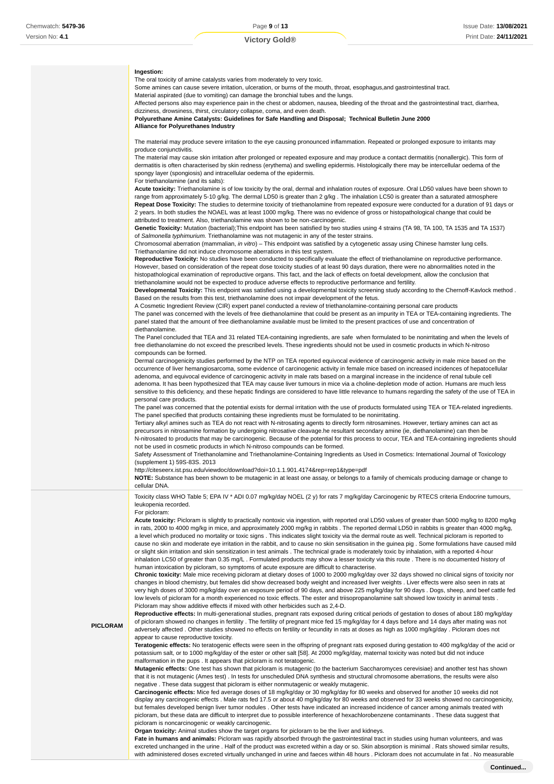#### **Ingestion:**

The oral toxicity of amine catalysts varies from moderately to very toxic.

Some amines can cause severe irritation, ulceration, or burns of the mouth, throat, esophagus,and gastrointestinal tract.

Material aspirated (due to vomiting) can damage the bronchial tubes and the lungs. Affected persons also may experience pain in the chest or abdomen, nausea, bleeding of the throat and the gastrointestinal tract, diarrhea,

dizziness, drowsiness, thirst, circulatory collapse, coma, and even death. **Polyurethane Amine Catalysts: Guidelines for Safe Handling and Disposal; Technical Bulletin June 2000**

**Alliance for Polyurethanes Industry**

The material may produce severe irritation to the eye causing pronounced inflammation. Repeated or prolonged exposure to irritants may produce conjunctivitis.

The material may cause skin irritation after prolonged or repeated exposure and may produce a contact dermatitis (nonallergic). This form of dermatitis is often characterised by skin redness (erythema) and swelling epidermis. Histologically there may be intercellular oedema of the spongy layer (spongiosis) and intracellular oedema of the epidermis.

### For triethanolamine (and its salts):

**Acute toxicity:** Triethanolamine is of low toxicity by the oral, dermal and inhalation routes of exposure. Oral LD50 values have been shown to range from approximately 5-10 g/kg. The dermal LD50 is greater than 2 g/kg . The inhalation LC50 is greater than a saturated atmosphere **Repeat Dose Toxicity:** The studies to determine toxicity of triethanolamine from repeated exposure were conducted for a duration of 91 days or 2 years. In both studies the NOAEL was at least 1000 mg/kg. There was no evidence of gross or histopathological change that could be attributed to treatment. Also, triethanolamine was shown to be non-carcinogenic.

**Genetic Toxicity:** Mutation (bacterial);This endpoint has been satisfied by two studies using 4 strains (TA 98, TA 100, TA 1535 and TA 1537) of Salmonella typhimurium. Triethanolamine was not mutagenic in any of the tester strains.

Chromosomal aberration (mammalian, in vitro) – This endpoint was satisfied by a cytogenetic assay using Chinese hamster lung cells. Triethanolamine did not induce chromosome aberrations in this test system.

**Reproductive Toxicity:** No studies have been conducted to specifically evaluate the effect of triethanolamine on reproductive performance. However, based on consideration of the repeat dose toxicity studies of at least 90 days duration, there were no abnormalities noted in the histopathological examination of reproductive organs. This fact, and the lack of effects on foetal development, allow the conclusion that triethanolamine would not be expected to produce adverse effects to reproductive performance and fertility.

**Developmental Toxicity:** This endpoint was satisfied using a developmental toxicity screening study according to the Chernoff-Kavlock method . Based on the results from this test, triethanolamine does not impair development of the fetus.

A Cosmetic Ingredient Review (CIR) expert panel conducted a review of triethanolamine-containing personal care products

The panel was concerned with the levels of free diethanolamine that could be present as an impurity in TEA or TEA-containing ingredients. The panel stated that the amount of free diethanolamine available must be limited to the present practices of use and concentration of diethanolamine.

The Panel concluded that TEA and 31 related TEA-containing ingredients, are safe when formulated to be nonirritating and when the levels of free diethanolamine do not exceed the prescribed levels. These ingredients should not be used in cosmetic products in which N-nitroso compounds can be formed.

Dermal carcinogenicity studies performed by the NTP on TEA reported equivocal evidence of carcinogenic activity in male mice based on the occurrence of liver hemangiosarcoma, some evidence of carcinogenic activity in female mice based on increased incidences of hepatocellular adenoma, and equivocal evidence of carcinogenic activity in male rats based on a marginal increase in the incidence of renal tubule cell adenoma. It has been hypothesized that TEA may cause liver tumours in mice via a choline-depletion mode of action. Humans are much less sensitive to this deficiency, and these hepatic findings are considered to have little relevance to humans regarding the safety of the use of TEA in personal care products.

The panel was concerned that the potential exists for dermal irritation with the use of products formulated using TEA or TEA-related ingredients. The panel specified that products containing these ingredients must be formulated to be nonirritating.

Tertiary alkyl amines such as TEA do not react with N-nitrosating agents to directly form nitrosamines. However, tertiary amines can act as precursors in nitrosamine formation by undergoing nitrosative cleavage.he resultant secondary amine (ie, diethanolamine) can then be N-nitrosated to products that may be carcinogenic. Because of the potential for this process to occur, TEA and TEA-containing ingredients should not be used in cosmetic products in which N-nitroso compounds can be formed.

Safety Assessment of Triethanolamine and Triethanolamine-Containing Ingredients as Used in Cosmetics: International Journal of Toxicology (supplement 1) 59S-83S. 2013

http://citeseerx.ist.psu.edu/viewdoc/download?doi=10.1.1.901.4174&rep=rep1&type=pdf

**NOTE:** Substance has been shown to be mutagenic in at least one assay, or belongs to a family of chemicals producing damage or change to cellular DNA.

Toxicity class WHO Table 5; EPA IV \* ADI 0.07 mg/kg/day NOEL (2 y) for rats 7 mg/kg/day Carcinogenic by RTECS criteria Endocrine tumours, leukopenia recorded.

#### For picloram:

Acute toxicity: Picloram is slightly to practically nontoxic via ingestion, with reported oral LD50 values of greater than 5000 mg/kg to 8200 mg/kg in rats, 2000 to 4000 mg/kg in mice, and approximately 2000 mg/kg in rabbits . The reported dermal LD50 in rabbits is greater than 4000 mg/kg, a level which produced no mortality or toxic signs . This indicates slight toxicity via the dermal route as well. Technical picloram is reported to cause no skin and moderate eye irritation in the rabbit, and to cause no skin sensitisation in the guinea pig . Some formulations have caused mild or slight skin irritation and skin sensitization in test animals . The technical grade is moderately toxic by inhalation, with a reported 4-hour inhalation LC50 of greater than 0.35 mg/L . Formulated products may show a lesser toxicity via this route . There is no documented history of human intoxication by picloram, so symptoms of acute exposure are difficult to characterise.

**Chronic toxicity:** Male mice receiving picloram at dietary doses of 1000 to 2000 mg/kg/day over 32 days showed no clinical signs of toxicity nor changes in blood chemistry, but females did show decreased body weight and increased liver weights . Liver effects were also seen in rats at very high doses of 3000 mg/kg/day over an exposure period of 90 days, and above 225 mg/kg/day for 90 days . Dogs, sheep, and beef cattle fed low levels of picloram for a month experienced no toxic effects. The ester and triisopropanolamine salt showed low toxicity in animal tests . Picloram may show additive effects if mixed with other herbicides such as 2,4-D.

## **PICLORAM**

**Reproductive effects:** In multi-generational studies, pregnant rats exposed during critical periods of gestation to doses of about 180 mg/kg/day of picloram showed no changes in fertility . The fertility of pregnant mice fed 15 mg/kg/day for 4 days before and 14 days after mating was not adversely affected . Other studies showed no effects on fertility or fecundity in rats at doses as high as 1000 mg/kg/day . Picloram does not appear to cause reproductive toxicity.

**Teratogenic effects:** No teratogenic effects were seen in the offspring of pregnant rats exposed during gestation to 400 mg/kg/day of the acid or potassium salt, or to 1000 mg/kg/day of the ester or other salt [58]. At 2000 mg/kg/day, maternal toxicity was noted but did not induce malformation in the pups . It appears that picloram is not teratogenic.

**Mutagenic effects:** One test has shown that picloram is mutagenic (to the bacterium Saccharomyces cerevisiae) and another test has shown that it is not mutagenic (Ames test) . In tests for unscheduled DNA synthesis and structural chromosome aberrations, the results were also negative . These data suggest that picloram is either nonmutagenic or weakly mutagenic.

**Carcinogenic effects:** Mice fed average doses of 18 mg/kg/day or 30 mg/kg/day for 80 weeks and observed for another 10 weeks did not display any carcinogenic effects . Male rats fed 17.5 or about 40 mg/kg/day for 80 weeks and observed for 33 weeks showed no carcinogenicity, but females developed benign liver tumor nodules . Other tests have indicated an increased incidence of cancer among animals treated with picloram, but these data are difficult to interpret due to possible interference of hexachlorobenzene contaminants . These data suggest that picloram is noncarcinogenic or weakly carcinogenic.

**Organ toxicity:** Animal studies show the target organs for picloram to be the liver and kidneys.

**Fate in humans and animals:** Picloram was rapidly absorbed through the gastrointestinal tract in studies using human volunteers, and was excreted unchanged in the urine . Half of the product was excreted within a day or so. Skin absorption is minimal . Rats showed similar results, with administered doses excreted virtually unchanged in urine and faeces within 48 hours . Picloram does not accumulate in fat . No measurable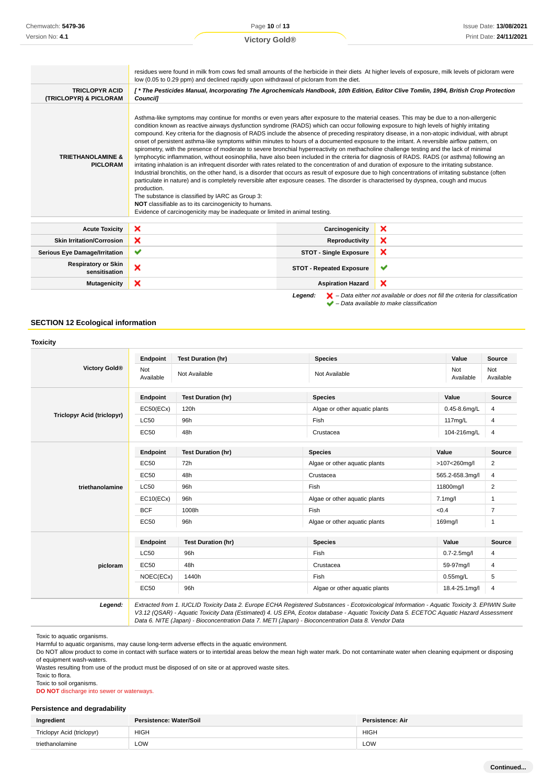|                                                 | residues were found in milk from cows fed small amounts of the herbicide in their diets At higher levels of exposure, milk levels of picloram were<br>low (0.05 to 0.29 ppm) and declined rapidly upon withdrawal of picloram from the diet.                                                                                                                                                                                                                                                                                                                                                                                                                                                                                                                                                                                                                                                                                                                                                                                                                                                                                                                                                                                                                                                                                                                                                                                                                                                                                             |                                 |                                                                                                                                                                     |
|-------------------------------------------------|------------------------------------------------------------------------------------------------------------------------------------------------------------------------------------------------------------------------------------------------------------------------------------------------------------------------------------------------------------------------------------------------------------------------------------------------------------------------------------------------------------------------------------------------------------------------------------------------------------------------------------------------------------------------------------------------------------------------------------------------------------------------------------------------------------------------------------------------------------------------------------------------------------------------------------------------------------------------------------------------------------------------------------------------------------------------------------------------------------------------------------------------------------------------------------------------------------------------------------------------------------------------------------------------------------------------------------------------------------------------------------------------------------------------------------------------------------------------------------------------------------------------------------------|---------------------------------|---------------------------------------------------------------------------------------------------------------------------------------------------------------------|
| <b>TRICLOPYR ACID</b><br>(TRICLOPYR) & PICLORAM | [* The Pesticides Manual, Incorporating The Agrochemicals Handbook, 10th Edition, Editor Clive Tomlin, 1994, British Crop Protection<br>Council1                                                                                                                                                                                                                                                                                                                                                                                                                                                                                                                                                                                                                                                                                                                                                                                                                                                                                                                                                                                                                                                                                                                                                                                                                                                                                                                                                                                         |                                 |                                                                                                                                                                     |
| <b>TRIETHANOLAMINE &amp;</b><br><b>PICLORAM</b> | Asthma-like symptoms may continue for months or even years after exposure to the material ceases. This may be due to a non-allergenic<br>condition known as reactive airways dysfunction syndrome (RADS) which can occur following exposure to high levels of highly irritating<br>compound. Key criteria for the diagnosis of RADS include the absence of preceding respiratory disease, in a non-atopic individual, with abrupt<br>onset of persistent asthma-like symptoms within minutes to hours of a documented exposure to the irritant. A reversible airflow pattern, on<br>spirometry, with the presence of moderate to severe bronchial hyperreactivity on methacholine challenge testing and the lack of minimal<br>lymphocytic inflammation, without eosinophilia, have also been included in the criteria for diagnosis of RADS. RADS (or asthma) following an<br>irritating inhalation is an infrequent disorder with rates related to the concentration of and duration of exposure to the irritating substance.<br>Industrial bronchitis, on the other hand, is a disorder that occurs as result of exposure due to high concentrations of irritating substance (often<br>particulate in nature) and is completely reversible after exposure ceases. The disorder is characterised by dyspnea, cough and mucus<br>production.<br>The substance is classified by IARC as Group 3:<br>NOT classifiable as to its carcinogenicity to humans.<br>Evidence of carcinogenicity may be inadequate or limited in animal testing. |                                 |                                                                                                                                                                     |
| <b>Acute Toxicity</b>                           | ×                                                                                                                                                                                                                                                                                                                                                                                                                                                                                                                                                                                                                                                                                                                                                                                                                                                                                                                                                                                                                                                                                                                                                                                                                                                                                                                                                                                                                                                                                                                                        | Carcinogenicity                 | ×                                                                                                                                                                   |
| <b>Skin Irritation/Corrosion</b>                | ×                                                                                                                                                                                                                                                                                                                                                                                                                                                                                                                                                                                                                                                                                                                                                                                                                                                                                                                                                                                                                                                                                                                                                                                                                                                                                                                                                                                                                                                                                                                                        | Reproductivity                  | ×                                                                                                                                                                   |
| <b>Serious Eye Damage/Irritation</b>            | ✔                                                                                                                                                                                                                                                                                                                                                                                                                                                                                                                                                                                                                                                                                                                                                                                                                                                                                                                                                                                                                                                                                                                                                                                                                                                                                                                                                                                                                                                                                                                                        | <b>STOT - Single Exposure</b>   | ×                                                                                                                                                                   |
| <b>Respiratory or Skin</b><br>sensitisation     | ×                                                                                                                                                                                                                                                                                                                                                                                                                                                                                                                                                                                                                                                                                                                                                                                                                                                                                                                                                                                                                                                                                                                                                                                                                                                                                                                                                                                                                                                                                                                                        | <b>STOT - Repeated Exposure</b> | $\checkmark$                                                                                                                                                        |
| <b>Mutagenicity</b>                             | ×<br>×<br><b>Aspiration Hazard</b>                                                                                                                                                                                                                                                                                                                                                                                                                                                                                                                                                                                                                                                                                                                                                                                                                                                                                                                                                                                                                                                                                                                                                                                                                                                                                                                                                                                                                                                                                                       |                                 |                                                                                                                                                                     |
|                                                 |                                                                                                                                                                                                                                                                                                                                                                                                                                                                                                                                                                                                                                                                                                                                                                                                                                                                                                                                                                                                                                                                                                                                                                                                                                                                                                                                                                                                                                                                                                                                          | Legend:                         | $\blacktriangleright$ – Data either not available or does not fill the criteria for classification<br>$\blacktriangleright$ - Data available to make classification |

## **SECTION 12 Ecological information**

## **Toxicity Victory Gold® Endpoint Test Duration (hr) Species Value Source** Not<br>Available Not Not Not Available Not Available Not Available Not Available Not Available Not Available Not Ava Available Not Available **Triclopyr Acid (triclopyr) Endpoint Test Duration (hr) Species Value Source** EC50(ECx) 120h **Algae or other aquatic plants** 0.45-8.6mg/L 4 LC50 96h Fish 117mg/L 4 EC50 48h Crustacea Crustacea 104-216mg/L 4 **triethanolamine Endpoint Test Duration (hr) Species Value Source** EC50 72h Algae or other aquatic plants >107<260mg/l 2 EC50 48h Crustacea 565.2-658.3mg/l 4 LC50 96h Fish 11800mg/l 2 EC10(ECx) 96h Algae or other aquatic plants 7.1mg/l 1  $\mathsf{BCF}$  1008h Fish Fish  $\langle 0.4 \rangle$  7 EC50 96h Algae or other aquatic plants 169mg/l 1 **picloram Endpoint Test Duration (hr) Species Value Source** LC50 96h Fish 0.7-2.5mg/l 4 EC50 48h Crustacea Crustacea 59-97mg/l 4 NOEC(ECx) 1440h Fish 0.55mg/L 5 EC50 96h Algae or other aquatic plants 18.4-25.1mg/l 4 **Legend:** Extracted from 1. IUCLID Toxicity Data 2. Europe ECHA Registered Substances - Ecotoxicological Information - Aquatic Toxicity 3. EPIWIN Suite

V3.12 (QSAR) - Aquatic Toxicity Data (Estimated) 4. US EPA, Ecotox database - Aquatic Toxicity Data 5. ECETOC Aquatic Hazard Assessment Data 6. NITE (Japan) - Bioconcentration Data 7. METI (Japan) - Bioconcentration Data 8. Vendor Data

Toxic to aquatic organisms.

Harmful to aquatic organisms, may cause long-term adverse effects in the aquatic environment.

Do NOT allow product to come in contact with surface waters or to intertidal areas below the mean high water mark. Do not contaminate water when cleaning equipment or disposing of equipment wash-waters.

Wastes resulting from use of the product must be disposed of on site or at approved waste sites.

Toxic to flora.

Toxic to soil organisms.

**DO NOT** discharge into sewer or waterways.

## **Persistence and degradability**

| Ingredient                 | Persistence: Water/Soil | Persistence: Air |
|----------------------------|-------------------------|------------------|
| Triclopyr Acid (triclopyr) | HIGH                    | <b>HIGH</b>      |
| triethanolamine            | LOW                     | LOW              |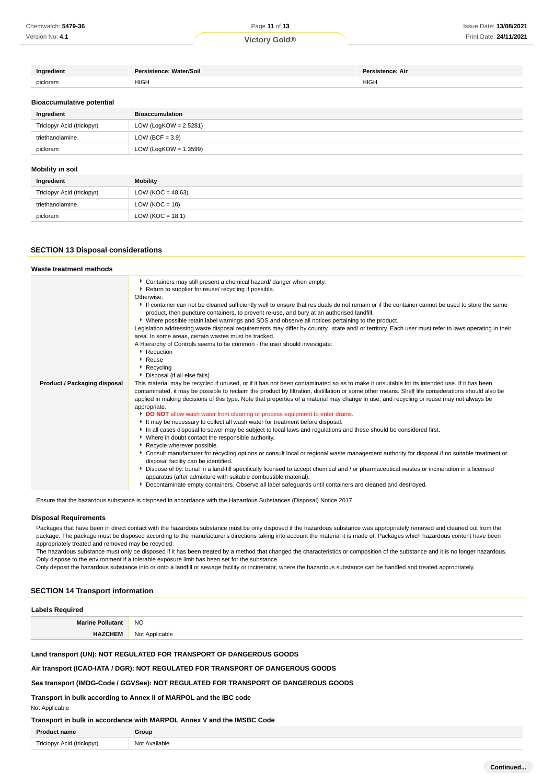Version No: **4.1**

| redient  | Persistence: Water/Soil | Persistence: Air |
|----------|-------------------------|------------------|
| picloram | <b>HIGH</b>             | <b>HIGH</b>      |
|          |                         |                  |

#### **Bioaccumulative potential**

| Ingredient                 | Bioaccumulation          |
|----------------------------|--------------------------|
| Triclopyr Acid (triclopyr) | LOW (LogKOW = $2.5281$ ) |
| triethanolamine            | LOW (BCF = $3.9$ )       |
| picloram                   | LOW (LogKOW = $1.3599$ ) |

## **Mobility in soil**

| Ingredient                 | Mobility             |
|----------------------------|----------------------|
| Triclopyr Acid (triclopyr) | LOW (KOC = $48.63$ ) |
| triethanolamine            | LOW ( $KOC = 10$ )   |
| picloram                   | LOW ( $KOC = 18.1$ ) |

### **SECTION 13 Disposal considerations**

| Waste treatment methods      |                                                                                                                                                                                                                                                                                                                                                                                                                                                                                                                                                                                                                                                                                                                                                                                                                                                                                                                                                                                                                                                                                                                                                                                                                                                                                                                                                                                                                                                                                                                                                                                                                                                                                                                                                                                                                                                                                                                                                                                                                                                                                                                                                                                                                               |
|------------------------------|-------------------------------------------------------------------------------------------------------------------------------------------------------------------------------------------------------------------------------------------------------------------------------------------------------------------------------------------------------------------------------------------------------------------------------------------------------------------------------------------------------------------------------------------------------------------------------------------------------------------------------------------------------------------------------------------------------------------------------------------------------------------------------------------------------------------------------------------------------------------------------------------------------------------------------------------------------------------------------------------------------------------------------------------------------------------------------------------------------------------------------------------------------------------------------------------------------------------------------------------------------------------------------------------------------------------------------------------------------------------------------------------------------------------------------------------------------------------------------------------------------------------------------------------------------------------------------------------------------------------------------------------------------------------------------------------------------------------------------------------------------------------------------------------------------------------------------------------------------------------------------------------------------------------------------------------------------------------------------------------------------------------------------------------------------------------------------------------------------------------------------------------------------------------------------------------------------------------------------|
| Product / Packaging disposal | Containers may still present a chemical hazard/ danger when empty.<br>▶ Return to supplier for reuse/ recycling if possible.<br>Otherwise:<br>If container can not be cleaned sufficiently well to ensure that residuals do not remain or if the container cannot be used to store the same<br>product, then puncture containers, to prevent re-use, and bury at an authorised landfill.<br>▶ Where possible retain label warnings and SDS and observe all notices pertaining to the product.<br>Legislation addressing waste disposal requirements may differ by country, state and/ or territory. Each user must refer to laws operating in their<br>area. In some areas, certain wastes must be tracked.<br>A Hierarchy of Controls seems to be common - the user should investigate:<br>Reduction<br>Reuse<br>▶ Recycling<br>Disposal (if all else fails)<br>This material may be recycled if unused, or if it has not been contaminated so as to make it unsuitable for its intended use. If it has been<br>contaminated, it may be possible to reclaim the product by filtration, distillation or some other means. Shelf life considerations should also be<br>applied in making decisions of this type. Note that properties of a material may change in use, and recycling or reuse may not always be<br>appropriate.<br>DO NOT allow wash water from cleaning or process equipment to enter drains.<br>It may be necessary to collect all wash water for treatment before disposal.<br>In all cases disposal to sewer may be subject to local laws and regulations and these should be considered first.<br>• Where in doubt contact the responsible authority.<br>Recycle wherever possible.<br>Consult manufacturer for recycling options or consult local or regional waste management authority for disposal if no suitable treatment or<br>disposal facility can be identified.<br>> Dispose of by: burial in a land-fill specifically licensed to accept chemical and / or pharmaceutical wastes or incineration in a licensed<br>apparatus (after admixture with suitable combustible material).<br>Decontaminate empty containers. Observe all label safequards until containers are cleaned and destroyed. |

Ensure that the hazardous substance is disposed in accordance with the Hazardous Substances (Disposal) Notice 2017

#### **Disposal Requirements**

Packages that have been in direct contact with the hazardous substance must be only disposed if the hazardous substance was appropriately removed and cleaned out from the package. The package must be disposed according to the manufacturer's directions taking into account the material it is made of. Packages which hazardous content have been appropriately treated and removed may be recycled.

The hazardous substance must only be disposed if it has been treated by a method that changed the characteristics or composition of the substance and it is no longer hazardous. Only dispose to the environment if a tolerable exposure limit has been set for the substance.

Only deposit the hazardous substance into or onto a landfill or sewage facility or incinerator, where the hazardous substance can be handled and treated appropriately.

#### **SECTION 14 Transport information**

| <b>Labels Required</b>  |                |
|-------------------------|----------------|
| <b>Marine Pollutant</b> | <b>NO</b>      |
| <b>HAZCHEM</b>          | Not Applicable |

## **Land transport (UN): NOT REGULATED FOR TRANSPORT OF DANGEROUS GOODS**

**Air transport (ICAO-IATA / DGR): NOT REGULATED FOR TRANSPORT OF DANGEROUS GOODS**

### **Sea transport (IMDG-Code / GGVSee): NOT REGULATED FOR TRANSPORT OF DANGEROUS GOODS**

## **Transport in bulk according to Annex II of MARPOL and the IBC code**

Not Applicable

#### **Transport in bulk in accordance with MARPOL Annex V and the IMSBC Code**

| <b>Product name</b> | Group |
|---------------------|-------|

| п.          | iroun                   |
|-------------|-------------------------|
|             |                         |
| - 1979<br>w | 11121<br>N <sub>O</sub> |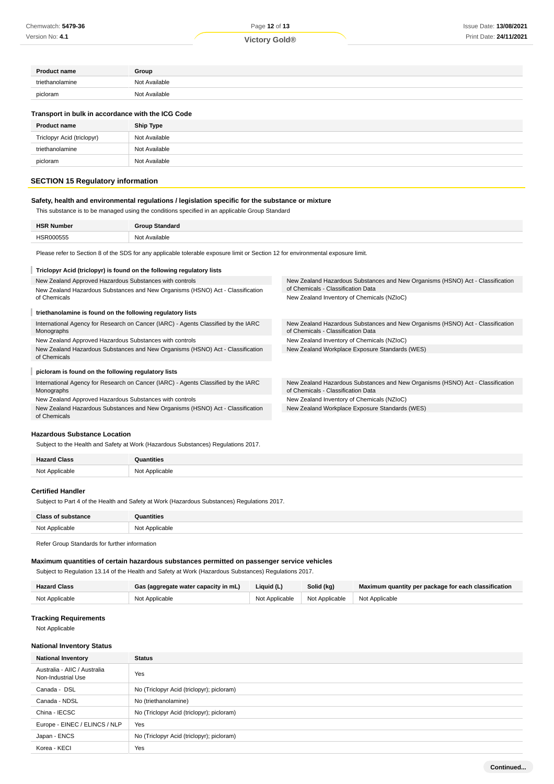# **Victory Gold®**

| <b>Product name</b>                               | Group         |
|---------------------------------------------------|---------------|
| triethanolamine                                   | Not Available |
| picloram                                          | Not Available |
| Transport in bulk in accordance with the ICG Code |               |

| <b>Product name</b>        | <b>Ship Type</b> |
|----------------------------|------------------|
| Triclopyr Acid (triclopyr) | Not Available    |
| triethanolamine            | Not Available    |
| picloram                   | Not Available    |
|                            |                  |

## **SECTION 15 Regulatory information**

## **Safety, health and environmental regulations / legislation specific for the substance or mixture**

This substance is to be managed using the conditions specified in an applicable Group Standard

| <b>HSR Number</b> | <b>Group Standard</b> |
|-------------------|-----------------------|
| HSR000555         | Not Available         |

Please refer to Section 8 of the SDS for any applicable tolerable exposure limit or Section 12 for environmental exposure limit.

#### **Triclopyr Acid (triclopyr) is found on the following regulatory lists** New Zealand Approved Hazardous Substances with controls New Zealand Hazardous Substances and New Organisms (HSNO) Act - Classification New Zealand Hazardous Substances and New Organisms (HSNO) Act - Classification of Chemicals - Classification Data of Chemicals New Zealand Inventory of Chemicals (NZIoC) ı **triethanolamine is found on the following regulatory lists** International Agency for Research on Cancer (IARC) - Agents Classified by the IARC New Zealand Hazardous Substances and New Organisms (HSNO) Act - Classification Monographs of Chemicals - Classification Data New Zealand Approved Hazardous Substances with controls New Zealand Inventory of Chemicals (NZIoC) New Zealand Hazardous Substances and New Organisms (HSNO) Act - Classification New Zealand Workplace Exposure Standards (WES) of Chemicals **picloram is found on the following regulatory lists** International Agency for Research on Cancer (IARC) - Agents Classified by the IARC New Zealand Hazardous Substances and New Organisms (HSNO) Act - Classification Monographs of Chemicals - Classification Data New Zealand Approved Hazardous Substances with controls New Zealand Inventory of Chemicals (NZIoC) New Zealand Hazardous Substances and New Organisms (HSNO) Act - Classification New Zealand Workplace Exposure Standards (WES) of Chemicals

#### **Hazardous Substance Location**

Subject to the Health and Safety at Work (Hazardous Substances) Regulations 2017.

| <b>Hazard Class</b> | <b>Quantities</b> |
|---------------------|-------------------|
| Not Applicable<br>. | Not Applicable    |

#### **Certified Handler**

Subject to Part 4 of the Health and Safety at Work (Hazardous Substances) Regulations 2017.

| <b>Class of substance</b> | antities       |
|---------------------------|----------------|
| Not Applicable            | Not Applicable |
|                           |                |

Refer Group Standards for further information

#### **Maximum quantities of certain hazardous substances permitted on passenger service vehicles**

Subject to Regulation 13.14 of the Health and Safety at Work (Hazardous Substances) Regulations 2017.

| <b>Hazard Class</b> | Gas (aggregate water capacity in mL) | Liquid (L) | Solid (kg)                                       | Maximum quantity per package for each classification |
|---------------------|--------------------------------------|------------|--------------------------------------------------|------------------------------------------------------|
| Not Applicable      | Not Applicable                       |            | Not Applicable   Not Applicable   Not Applicable |                                                      |

## **Tracking Requirements**

Not Applicable

#### **National Inventory Status**

| <b>National Inventory</b>                          | <b>Status</b>                             |
|----------------------------------------------------|-------------------------------------------|
| Australia - AIIC / Australia<br>Non-Industrial Use | Yes                                       |
| Canada - DSL                                       | No (Triclopyr Acid (triclopyr); picloram) |
| Canada - NDSL                                      | No (triethanolamine)                      |
| China - IECSC                                      | No (Triclopyr Acid (triclopyr); picloram) |
| Europe - EINEC / ELINCS / NLP                      | Yes                                       |
| Japan - ENCS                                       | No (Triclopyr Acid (triclopyr); picloram) |
| Korea - KECI                                       | Yes                                       |